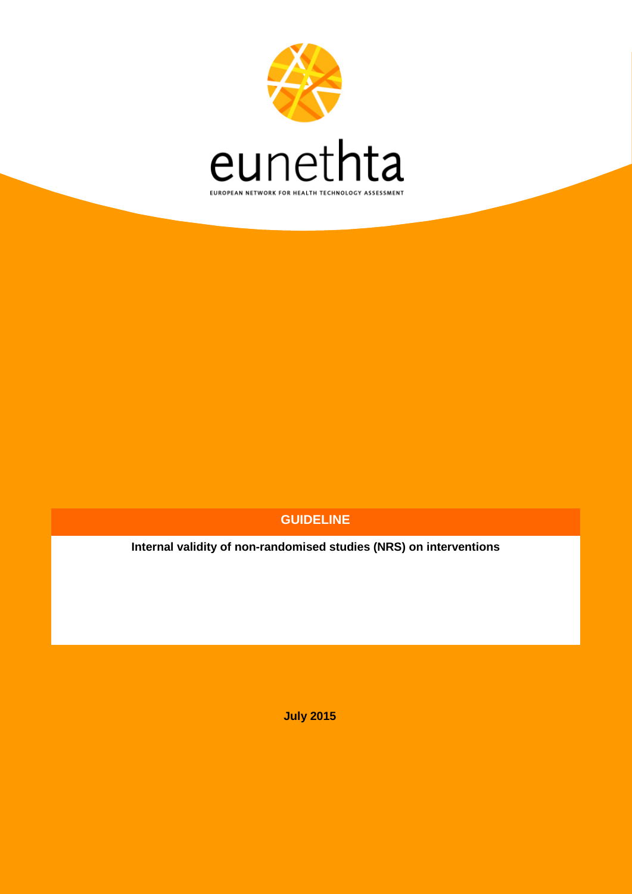

### **GUIDELINE**

**Internal validity of non-randomised studies (NRS) on interventions**

**July 2015**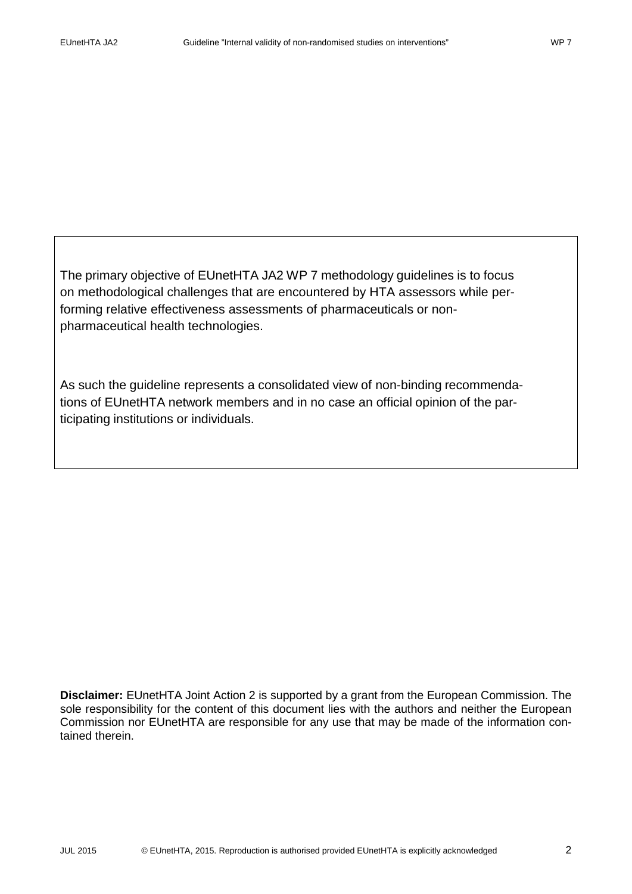The primary objective of EUnetHTA JA2 WP 7 methodology guidelines is to focus on methodological challenges that are encountered by HTA assessors while performing relative effectiveness assessments of pharmaceuticals or nonpharmaceutical health technologies.

As such the guideline represents a consolidated view of non-binding recommendations of EUnetHTA network members and in no case an official opinion of the participating institutions or individuals.

**Disclaimer:** EUnetHTA Joint Action 2 is supported by a grant from the European Commission. The sole responsibility for the content of this document lies with the authors and neither the European Commission nor EUnetHTA are responsible for any use that may be made of the information contained therein.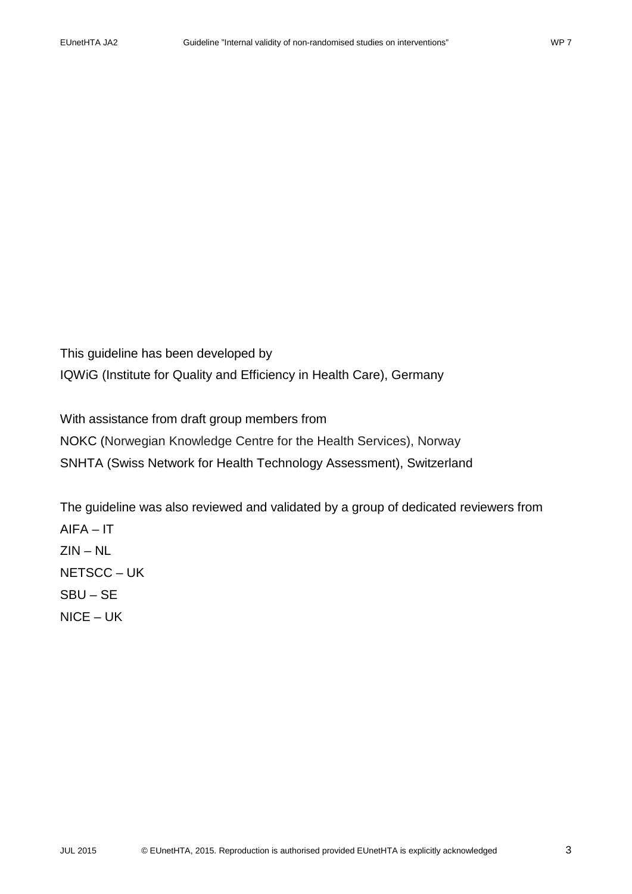This guideline has been developed by IQWiG (Institute for Quality and Efficiency in Health Care), Germany

With assistance from draft group members from NOKC (Norwegian Knowledge Centre for the Health Services), Norway SNHTA (Swiss Network for Health Technology Assessment), Switzerland

The guideline was also reviewed and validated by a group of dedicated reviewers from  $AIFA - IT$ ZIN – NL NETSCC – UK SBU – SE NICE – UK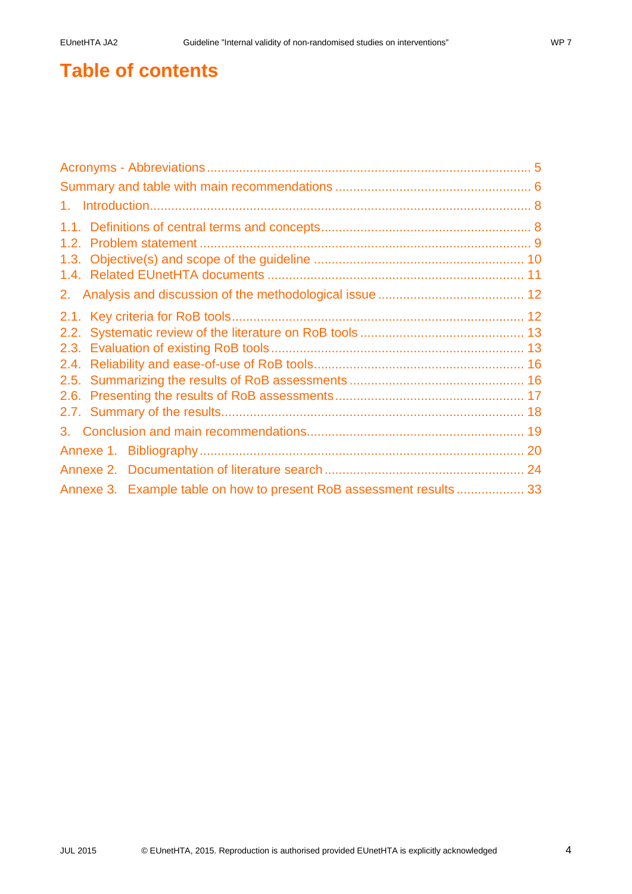# **Table of contents**

| Annexe 3. Example table on how to present RoB assessment results 33 |  |
|---------------------------------------------------------------------|--|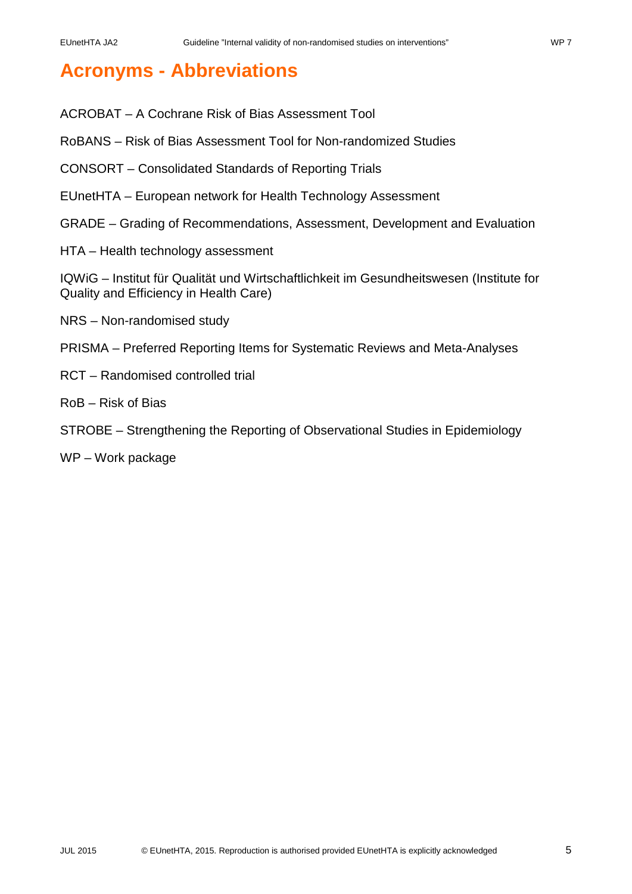# <span id="page-4-0"></span>**Acronyms - Abbreviations**

- ACROBAT A Cochrane Risk of Bias Assessment Tool
- RoBANS Risk of Bias Assessment Tool for Non-randomized Studies
- CONSORT Consolidated Standards of Reporting Trials
- EUnetHTA European network for Health Technology Assessment
- GRADE Grading of Recommendations, Assessment, Development and Evaluation
- HTA Health technology assessment

IQWiG – Institut für Qualität und Wirtschaftlichkeit im Gesundheitswesen (Institute for Quality and Efficiency in Health Care)

- NRS Non-randomised study
- PRISMA Preferred Reporting Items for Systematic Reviews and Meta-Analyses
- RCT Randomised controlled trial
- RoB Risk of Bias
- STROBE Strengthening the Reporting of Observational Studies in Epidemiology
- WP Work package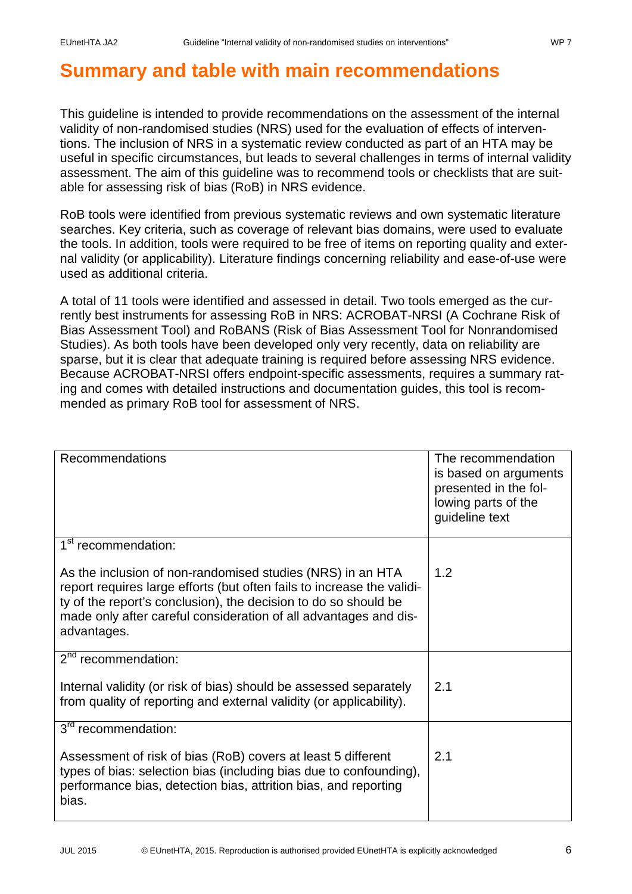# <span id="page-5-0"></span>**Summary and table with main recommendations**

This guideline is intended to provide recommendations on the assessment of the internal validity of non-randomised studies (NRS) used for the evaluation of effects of interventions. The inclusion of NRS in a systematic review conducted as part of an HTA may be useful in specific circumstances, but leads to several challenges in terms of internal validity assessment. The aim of this guideline was to recommend tools or checklists that are suitable for assessing risk of bias (RoB) in NRS evidence.

RoB tools were identified from previous systematic reviews and own systematic literature searches. Key criteria, such as coverage of relevant bias domains, were used to evaluate the tools. In addition, tools were required to be free of items on reporting quality and external validity (or applicability). Literature findings concerning reliability and ease-of-use were used as additional criteria.

A total of 11 tools were identified and assessed in detail. Two tools emerged as the currently best instruments for assessing RoB in NRS: ACROBAT-NRSI (A Cochrane Risk of Bias Assessment Tool) and RoBANS (Risk of Bias Assessment Tool for Nonrandomised Studies). As both tools have been developed only very recently, data on reliability are sparse, but it is clear that adequate training is required before assessing NRS evidence. Because ACROBAT-NRSI offers endpoint-specific assessments, requires a summary rating and comes with detailed instructions and documentation guides, this tool is recommended as primary RoB tool for assessment of NRS.

| <b>Recommendations</b>                                                                                                                                                                                                                                                                     | The recommendation<br>is based on arguments<br>presented in the fol-<br>lowing parts of the<br>guideline text |
|--------------------------------------------------------------------------------------------------------------------------------------------------------------------------------------------------------------------------------------------------------------------------------------------|---------------------------------------------------------------------------------------------------------------|
| 1 <sup>st</sup> recommendation:                                                                                                                                                                                                                                                            |                                                                                                               |
| As the inclusion of non-randomised studies (NRS) in an HTA<br>report requires large efforts (but often fails to increase the validi-<br>ty of the report's conclusion), the decision to do so should be<br>made only after careful consideration of all advantages and dis-<br>advantages. | 1.2                                                                                                           |
| $2nd$ recommendation:                                                                                                                                                                                                                                                                      |                                                                                                               |
| Internal validity (or risk of bias) should be assessed separately<br>from quality of reporting and external validity (or applicability).                                                                                                                                                   | 2.1                                                                                                           |
| 3 <sup>rd</sup> recommendation:                                                                                                                                                                                                                                                            |                                                                                                               |
| Assessment of risk of bias (RoB) covers at least 5 different<br>types of bias: selection bias (including bias due to confounding),<br>performance bias, detection bias, attrition bias, and reporting<br>bias.                                                                             | 2.1                                                                                                           |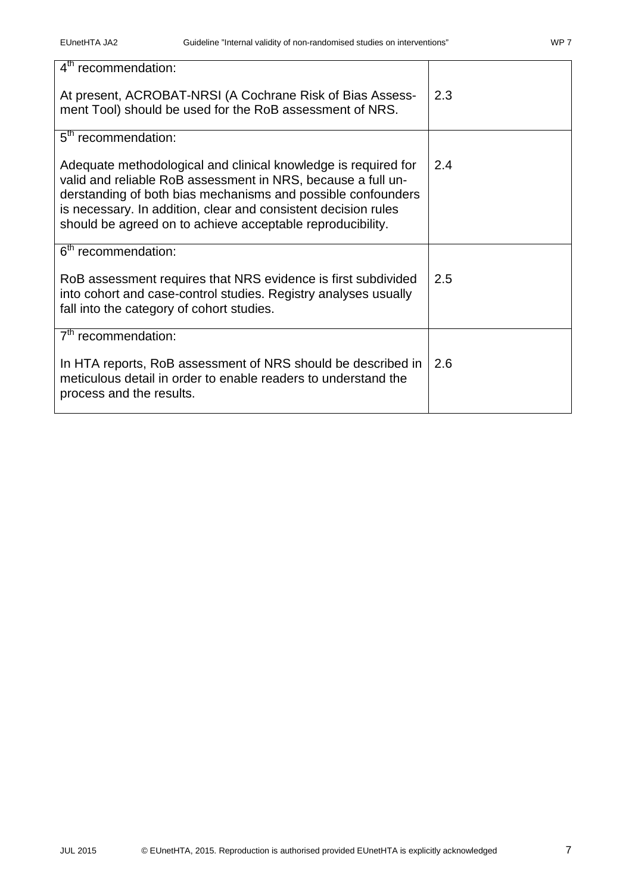| $4th$ recommendation:                                                                                                                                                                                                                                                                                                          |     |
|--------------------------------------------------------------------------------------------------------------------------------------------------------------------------------------------------------------------------------------------------------------------------------------------------------------------------------|-----|
| At present, ACROBAT-NRSI (A Cochrane Risk of Bias Assess-<br>ment Tool) should be used for the RoB assessment of NRS.                                                                                                                                                                                                          | 2.3 |
| 5 <sup>th</sup> recommendation:                                                                                                                                                                                                                                                                                                |     |
| Adequate methodological and clinical knowledge is required for<br>valid and reliable RoB assessment in NRS, because a full un-<br>derstanding of both bias mechanisms and possible confounders<br>is necessary. In addition, clear and consistent decision rules<br>should be agreed on to achieve acceptable reproducibility. | 2.4 |
| 6 <sup>th</sup> recommendation:                                                                                                                                                                                                                                                                                                |     |
| RoB assessment requires that NRS evidence is first subdivided<br>into cohort and case-control studies. Registry analyses usually<br>fall into the category of cohort studies.                                                                                                                                                  | 2.5 |
| 7 <sup>th</sup> recommendation:                                                                                                                                                                                                                                                                                                |     |
| In HTA reports, RoB assessment of NRS should be described in<br>meticulous detail in order to enable readers to understand the<br>process and the results.                                                                                                                                                                     | 2.6 |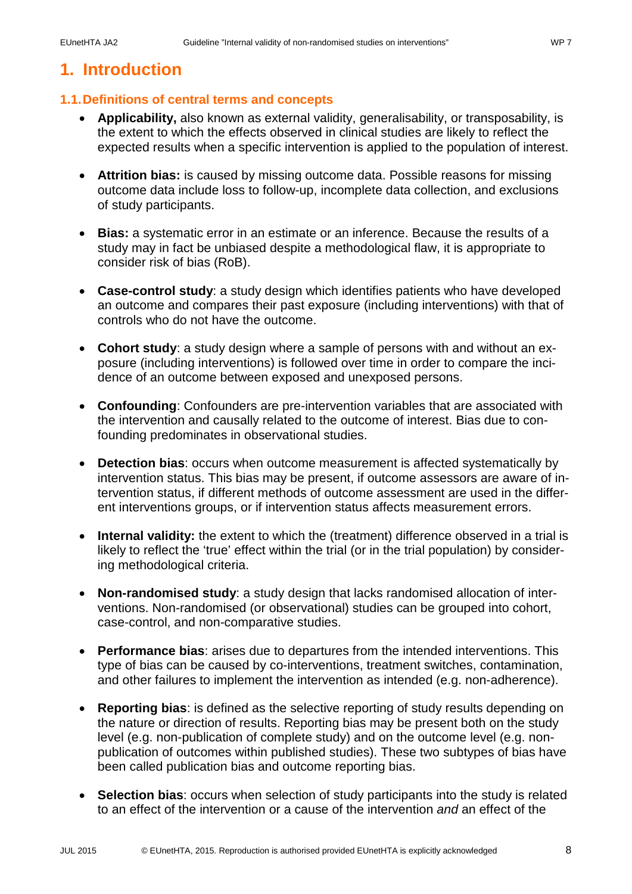### <span id="page-7-0"></span>**1. Introduction**

### <span id="page-7-1"></span>**1.1.Definitions of central terms and concepts**

- **Applicability,** also known as external validity, generalisability, or transposability, is the extent to which the effects observed in clinical studies are likely to reflect the expected results when a specific intervention is applied to the population of interest.
- **Attrition bias:** is caused by missing outcome data. Possible reasons for missing outcome data include loss to follow-up, incomplete data collection, and exclusions of study participants.
- **Bias:** a systematic error in an estimate or an inference. Because the results of a study may in fact be unbiased despite a methodological flaw, it is appropriate to consider risk of bias (RoB).
- **Case-control study**: a study design which identifies patients who have developed an outcome and compares their past exposure (including interventions) with that of controls who do not have the outcome.
- **Cohort study**: a study design where a sample of persons with and without an exposure (including interventions) is followed over time in order to compare the incidence of an outcome between exposed and unexposed persons.
- **Confounding**: Confounders are pre-intervention variables that are associated with the intervention and causally related to the outcome of interest. Bias due to confounding predominates in observational studies.
- **Detection bias**: occurs when outcome measurement is affected systematically by intervention status. This bias may be present, if outcome assessors are aware of intervention status, if different methods of outcome assessment are used in the different interventions groups, or if intervention status affects measurement errors.
- **Internal validity:** the extent to which the (treatment) difference observed in a trial is likely to reflect the 'true' effect within the trial (or in the trial population) by considering methodological criteria.
- **Non-randomised study**: a study design that lacks randomised allocation of interventions. Non-randomised (or observational) studies can be grouped into cohort, case-control, and non-comparative studies.
- **Performance bias**: arises due to departures from the intended interventions. This type of bias can be caused by co-interventions, treatment switches, contamination, and other failures to implement the intervention as intended (e.g. non-adherence).
- **Reporting bias**: is defined as the selective reporting of study results depending on the nature or direction of results. Reporting bias may be present both on the study level (e.g. non-publication of complete study) and on the outcome level (e.g. nonpublication of outcomes within published studies). These two subtypes of bias have been called publication bias and outcome reporting bias.
- **Selection bias**: occurs when selection of study participants into the study is related to an effect of the intervention or a cause of the intervention *and* an effect of the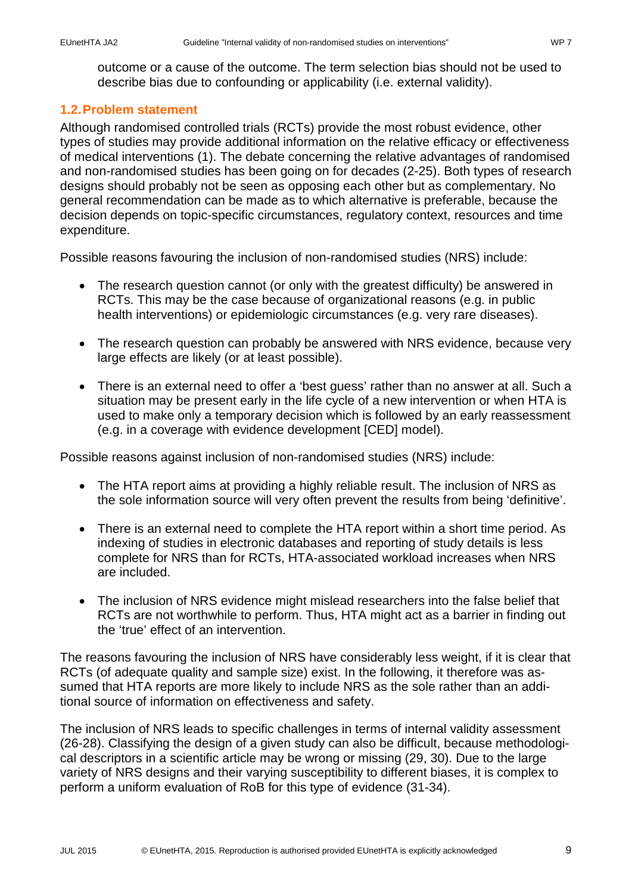outcome or a cause of the outcome. The term selection bias should not be used to describe bias due to confounding or applicability (i.e. external validity).

### <span id="page-8-0"></span>**1.2.Problem statement**

Although randomised controlled trials (RCTs) provide the most robust evidence, other types of studies may provide additional information on the relative efficacy or effectiveness of medical interventions [\(1\)](#page-19-1). The debate concerning the relative advantages of randomised and non-randomised studies has been going on for decades [\(2-25\)](#page-19-2). Both types of research designs should probably not be seen as opposing each other but as complementary. No general recommendation can be made as to which alternative is preferable, because the decision depends on topic-specific circumstances, regulatory context, resources and time expenditure.

Possible reasons favouring the inclusion of non-randomised studies (NRS) include:

- The research question cannot (or only with the greatest difficulty) be answered in RCTs. This may be the case because of organizational reasons (e.g. in public health interventions) or epidemiologic circumstances (e.g. very rare diseases).
- The research question can probably be answered with NRS evidence, because very large effects are likely (or at least possible).
- There is an external need to offer a 'best guess' rather than no answer at all. Such a situation may be present early in the life cycle of a new intervention or when HTA is used to make only a temporary decision which is followed by an early reassessment (e.g. in a coverage with evidence development [CED] model).

Possible reasons against inclusion of non-randomised studies (NRS) include:

- The HTA report aims at providing a highly reliable result. The inclusion of NRS as the sole information source will very often prevent the results from being 'definitive'.
- There is an external need to complete the HTA report within a short time period. As indexing of studies in electronic databases and reporting of study details is less complete for NRS than for RCTs, HTA-associated workload increases when NRS are included.
- The inclusion of NRS evidence might mislead researchers into the false belief that RCTs are not worthwhile to perform. Thus, HTA might act as a barrier in finding out the 'true' effect of an intervention.

The reasons favouring the inclusion of NRS have considerably less weight, if it is clear that RCTs (of adequate quality and sample size) exist. In the following, it therefore was assumed that HTA reports are more likely to include NRS as the sole rather than an additional source of information on effectiveness and safety.

The inclusion of NRS leads to specific challenges in terms of internal validity assessment [\(26-28\)](#page-20-0). Classifying the design of a given study can also be difficult, because methodological descriptors in a scientific article may be wrong or missing [\(29,](#page-20-1) [30\)](#page-20-2). Due to the large variety of NRS designs and their varying susceptibility to different biases, it is complex to perform a uniform evaluation of RoB for this type of evidence [\(31-34\)](#page-20-3).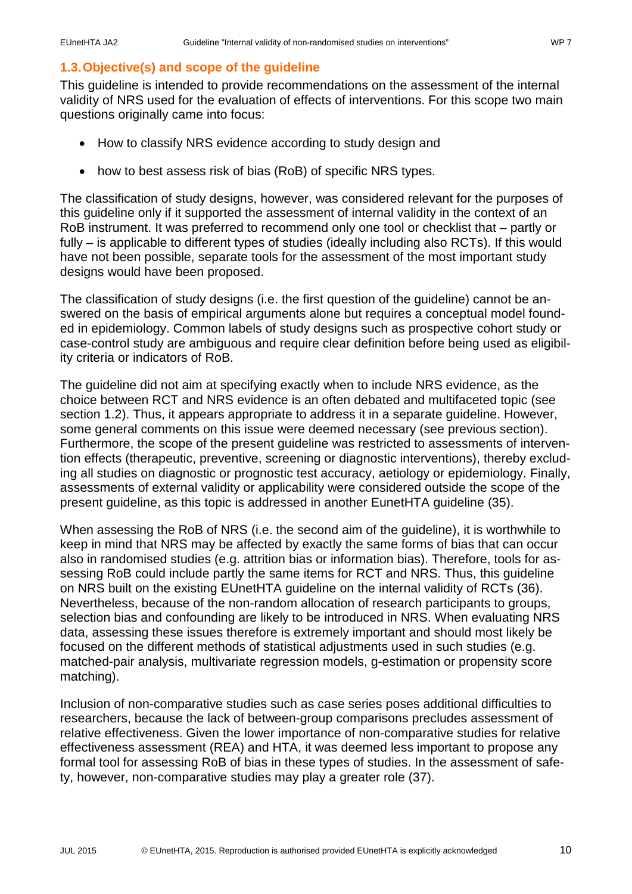### <span id="page-9-0"></span>**1.3.Objective(s) and scope of the guideline**

This guideline is intended to provide recommendations on the assessment of the internal validity of NRS used for the evaluation of effects of interventions. For this scope two main questions originally came into focus:

- How to classify NRS evidence according to study design and
- how to best assess risk of bias (RoB) of specific NRS types.

The classification of study designs, however, was considered relevant for the purposes of this guideline only if it supported the assessment of internal validity in the context of an RoB instrument. It was preferred to recommend only one tool or checklist that – partly or fully – is applicable to different types of studies (ideally including also RCTs). If this would have not been possible, separate tools for the assessment of the most important study designs would have been proposed.

The classification of study designs (i.e. the first question of the guideline) cannot be answered on the basis of empirical arguments alone but requires a conceptual model founded in epidemiology. Common labels of study designs such as prospective cohort study or case-control study are ambiguous and require clear definition before being used as eligibility criteria or indicators of RoB.

The guideline did not aim at specifying exactly when to include NRS evidence, as the choice between RCT and NRS evidence is an often debated and multifaceted topic (see section [1.2\)](#page-8-0). Thus, it appears appropriate to address it in a separate guideline. However, some general comments on this issue were deemed necessary (see previous section). Furthermore, the scope of the present guideline was restricted to assessments of intervention effects (therapeutic, preventive, screening or diagnostic interventions), thereby excluding all studies on diagnostic or prognostic test accuracy, aetiology or epidemiology. Finally, assessments of external validity or applicability were considered outside the scope of the present guideline, as this topic is addressed in another EunetHTA guideline [\(35\)](#page-21-0).

When assessing the RoB of NRS (i.e. the second aim of the guideline), it is worthwhile to keep in mind that NRS may be affected by exactly the same forms of bias that can occur also in randomised studies (e.g. attrition bias or information bias). Therefore, tools for assessing RoB could include partly the same items for RCT and NRS. Thus, this guideline on NRS built on the existing EUnetHTA guideline on the internal validity of RCTs [\(36\)](#page-21-1). Nevertheless, because of the non-random allocation of research participants to groups, selection bias and confounding are likely to be introduced in NRS. When evaluating NRS data, assessing these issues therefore is extremely important and should most likely be focused on the different methods of statistical adjustments used in such studies (e.g. matched-pair analysis, multivariate regression models, g-estimation or propensity score matching).

Inclusion of non-comparative studies such as case series poses additional difficulties to researchers, because the lack of between-group comparisons precludes assessment of relative effectiveness. Given the lower importance of non-comparative studies for relative effectiveness assessment (REA) and HTA, it was deemed less important to propose any formal tool for assessing RoB of bias in these types of studies. In the assessment of safety, however, non-comparative studies may play a greater role [\(37\)](#page-21-2).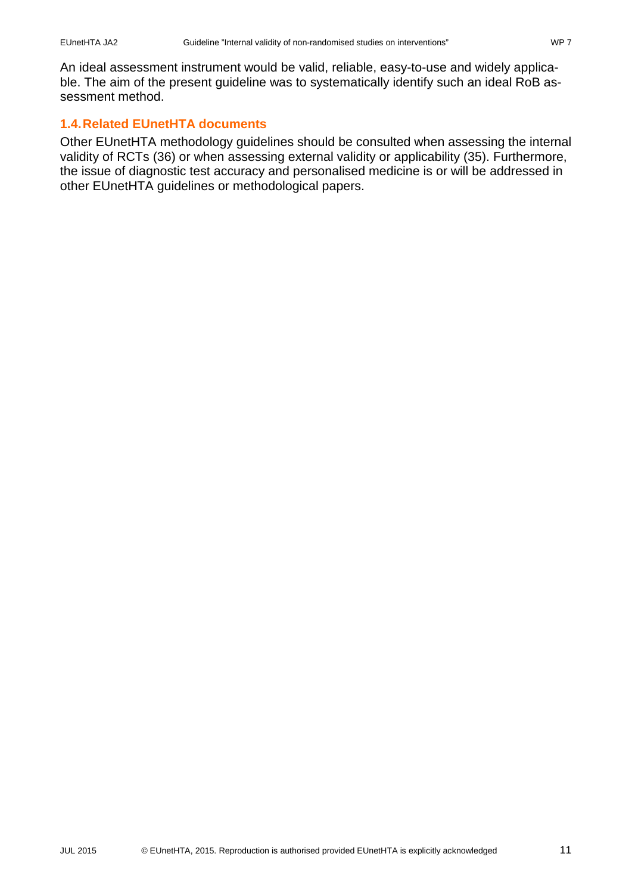An ideal assessment instrument would be valid, reliable, easy-to-use and widely applicable. The aim of the present guideline was to systematically identify such an ideal RoB assessment method.

### <span id="page-10-0"></span>**1.4.Related EUnetHTA documents**

Other EUnetHTA methodology guidelines should be consulted when assessing the internal validity of RCTs [\(36\)](#page-21-1) or when assessing external validity or applicability [\(35\)](#page-21-0). Furthermore, the issue of diagnostic test accuracy and personalised medicine is or will be addressed in other EUnetHTA guidelines or methodological papers.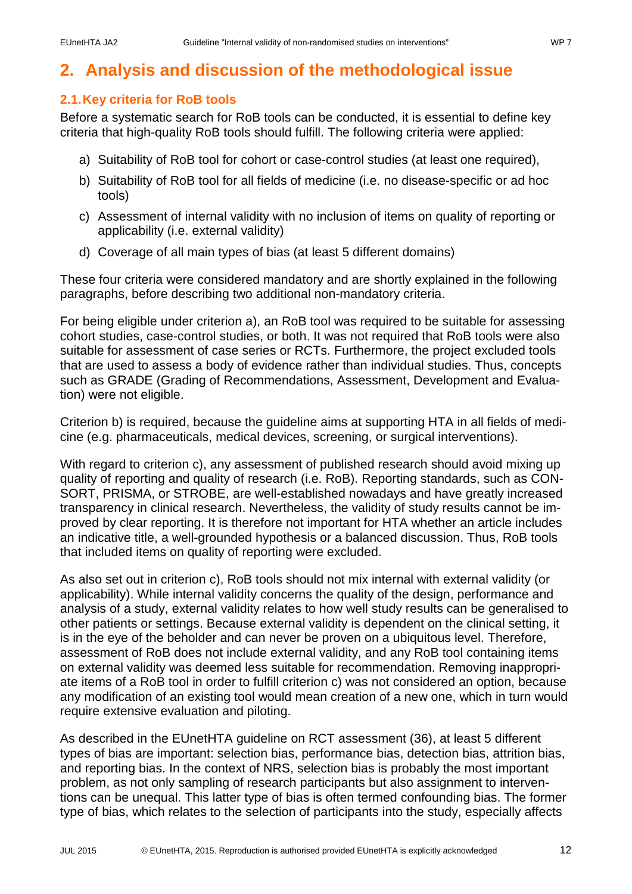### <span id="page-11-0"></span>**2. Analysis and discussion of the methodological issue**

### <span id="page-11-1"></span>**2.1.Key criteria for RoB tools**

Before a systematic search for RoB tools can be conducted, it is essential to define key criteria that high-quality RoB tools should fulfill. The following criteria were applied:

- a) Suitability of RoB tool for cohort or case-control studies (at least one required),
- b) Suitability of RoB tool for all fields of medicine (i.e. no disease-specific or ad hoc tools)
- c) Assessment of internal validity with no inclusion of items on quality of reporting or applicability (i.e. external validity)
- d) Coverage of all main types of bias (at least 5 different domains)

These four criteria were considered mandatory and are shortly explained in the following paragraphs, before describing two additional non-mandatory criteria.

For being eligible under criterion a), an RoB tool was required to be suitable for assessing cohort studies, case-control studies, or both. It was not required that RoB tools were also suitable for assessment of case series or RCTs. Furthermore, the project excluded tools that are used to assess a body of evidence rather than individual studies. Thus, concepts such as GRADE (Grading of Recommendations, Assessment, Development and Evaluation) were not eligible.

Criterion b) is required, because the guideline aims at supporting HTA in all fields of medicine (e.g. pharmaceuticals, medical devices, screening, or surgical interventions).

With regard to criterion c), any assessment of published research should avoid mixing up quality of reporting and quality of research (i.e. RoB). Reporting standards, such as CON-SORT, PRISMA, or STROBE, are well-established nowadays and have greatly increased transparency in clinical research. Nevertheless, the validity of study results cannot be improved by clear reporting. It is therefore not important for HTA whether an article includes an indicative title, a well-grounded hypothesis or a balanced discussion. Thus, RoB tools that included items on quality of reporting were excluded.

As also set out in criterion c), RoB tools should not mix internal with external validity (or applicability). While internal validity concerns the quality of the design, performance and analysis of a study, external validity relates to how well study results can be generalised to other patients or settings. Because external validity is dependent on the clinical setting, it is in the eye of the beholder and can never be proven on a ubiquitous level. Therefore, assessment of RoB does not include external validity, and any RoB tool containing items on external validity was deemed less suitable for recommendation. Removing inappropriate items of a RoB tool in order to fulfill criterion c) was not considered an option, because any modification of an existing tool would mean creation of a new one, which in turn would require extensive evaluation and piloting.

As described in the EUnetHTA guideline on RCT assessment [\(36\)](#page-21-1), at least 5 different types of bias are important: selection bias, performance bias, detection bias, attrition bias, and reporting bias. In the context of NRS, selection bias is probably the most important problem, as not only sampling of research participants but also assignment to interventions can be unequal. This latter type of bias is often termed confounding bias. The former type of bias, which relates to the selection of participants into the study, especially affects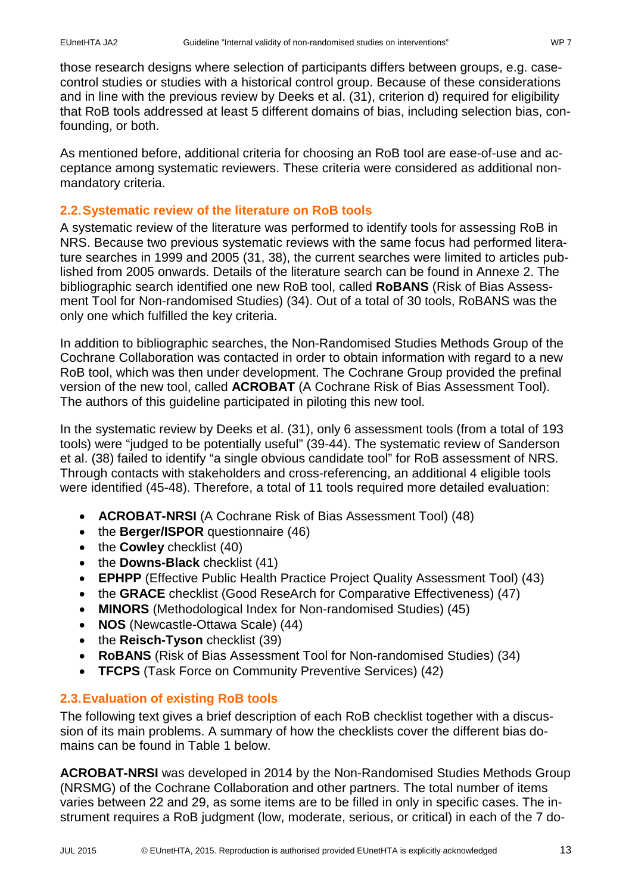those research designs where selection of participants differs between groups, e.g. casecontrol studies or studies with a historical control group. Because of these considerations and in line with the previous review by Deeks et al. [\(31\)](#page-20-3), criterion d) required for eligibility that RoB tools addressed at least 5 different domains of bias, including selection bias, confounding, or both.

As mentioned before, additional criteria for choosing an RoB tool are ease-of-use and acceptance among systematic reviewers. These criteria were considered as additional nonmandatory criteria.

### <span id="page-12-0"></span>**2.2.Systematic review of the literature on RoB tools**

A systematic review of the literature was performed to identify tools for assessing RoB in NRS. Because two previous systematic reviews with the same focus had performed literature searches in 1999 and 2005 [\(31,](#page-20-3) [38\)](#page-21-3), the current searches were limited to articles published from 2005 onwards. Details of the literature search can be found in [Annexe 2.](#page-23-0) The bibliographic search identified one new RoB tool, called **RoBANS** (Risk of Bias Assessment Tool for Non-randomised Studies) [\(34\)](#page-21-4). Out of a total of 30 tools, RoBANS was the only one which fulfilled the key criteria.

In addition to bibliographic searches, the Non-Randomised Studies Methods Group of the Cochrane Collaboration was contacted in order to obtain information with regard to a new RoB tool, which was then under development. The Cochrane Group provided the prefinal version of the new tool, called **ACROBAT** (A Cochrane Risk of Bias Assessment Tool). The authors of this guideline participated in piloting this new tool.

In the systematic review by Deeks et al. [\(31\)](#page-20-3), only 6 assessment tools (from a total of 193 tools) were "judged to be potentially useful" [\(39-44\)](#page-21-5). The systematic review of Sanderson et al. [\(38\)](#page-21-3) failed to identify "a single obvious candidate tool" for RoB assessment of NRS. Through contacts with stakeholders and cross-referencing, an additional 4 eligible tools were identified [\(45-48\)](#page-21-6). Therefore, a total of 11 tools required more detailed evaluation:

- **ACROBAT-NRSI** (A Cochrane Risk of Bias Assessment Tool) [\(48\)](#page-22-0)
- the **Berger/ISPOR** questionnaire [\(46\)](#page-21-7)
- the **Cowley** checklist [\(40\)](#page-21-8)
- the **Downs-Black** checklist [\(41\)](#page-21-9)
- **EPHPP** (Effective Public Health Practice Project Quality Assessment Tool) [\(43\)](#page-21-10)
- the **GRACE** checklist (Good ReseArch for Comparative Effectiveness) [\(47\)](#page-22-1)
- **MINORS** (Methodological Index for Non-randomised Studies) [\(45\)](#page-21-6)
- **NOS** (Newcastle-Ottawa Scale) [\(44\)](#page-21-11)
- the **Reisch-Tyson** checklist [\(39\)](#page-21-5)
- **RoBANS** (Risk of Bias Assessment Tool for Non-randomised Studies) [\(34\)](#page-21-4)
- **TFCPS** (Task Force on Community Preventive Services) [\(42\)](#page-21-12)

### <span id="page-12-1"></span>**2.3.Evaluation of existing RoB tools**

The following text gives a brief description of each RoB checklist together with a discussion of its main problems. A summary of how the checklists cover the different bias domains can be found in [Table 1](#page-14-0) below.

**ACROBAT-NRSI** was developed in 2014 by the Non-Randomised Studies Methods Group (NRSMG) of the Cochrane Collaboration and other partners. The total number of items varies between 22 and 29, as some items are to be filled in only in specific cases. The instrument requires a RoB judgment (low, moderate, serious, or critical) in each of the 7 do-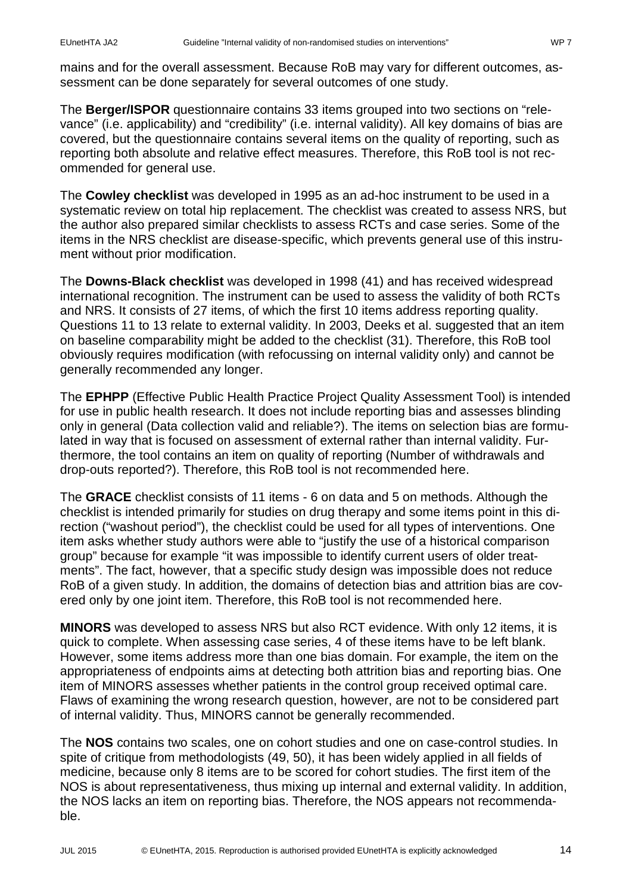mains and for the overall assessment. Because RoB may vary for different outcomes, assessment can be done separately for several outcomes of one study.

The **Berger/ISPOR** questionnaire contains 33 items grouped into two sections on "relevance" (i.e. applicability) and "credibility" (i.e. internal validity). All key domains of bias are covered, but the questionnaire contains several items on the quality of reporting, such as reporting both absolute and relative effect measures. Therefore, this RoB tool is not recommended for general use.

The **Cowley checklist** was developed in 1995 as an ad-hoc instrument to be used in a systematic review on total hip replacement. The checklist was created to assess NRS, but the author also prepared similar checklists to assess RCTs and case series. Some of the items in the NRS checklist are disease-specific, which prevents general use of this instrument without prior modification.

The **Downs-Black checklist** was developed in 1998 [\(41\)](#page-21-9) and has received widespread international recognition. The instrument can be used to assess the validity of both RCTs and NRS. It consists of 27 items, of which the first 10 items address reporting quality. Questions 11 to 13 relate to external validity. In 2003, Deeks et al. suggested that an item on baseline comparability might be added to the checklist [\(31\)](#page-20-3). Therefore, this RoB tool obviously requires modification (with refocussing on internal validity only) and cannot be generally recommended any longer.

The **EPHPP** (Effective Public Health Practice Project Quality Assessment Tool) is intended for use in public health research. It does not include reporting bias and assesses blinding only in general (Data collection valid and reliable?). The items on selection bias are formulated in way that is focused on assessment of external rather than internal validity. Furthermore, the tool contains an item on quality of reporting (Number of withdrawals and drop-outs reported?). Therefore, this RoB tool is not recommended here.

The **GRACE** checklist consists of 11 items - 6 on data and 5 on methods. Although the checklist is intended primarily for studies on drug therapy and some items point in this direction ("washout period"), the checklist could be used for all types of interventions. One item asks whether study authors were able to "justify the use of a historical comparison group" because for example "it was impossible to identify current users of older treatments". The fact, however, that a specific study design was impossible does not reduce RoB of a given study. In addition, the domains of detection bias and attrition bias are covered only by one joint item. Therefore, this RoB tool is not recommended here.

**MINORS** was developed to assess NRS but also RCT evidence. With only 12 items, it is quick to complete. When assessing case series, 4 of these items have to be left blank. However, some items address more than one bias domain. For example, the item on the appropriateness of endpoints aims at detecting both attrition bias and reporting bias. One item of MINORS assesses whether patients in the control group received optimal care. Flaws of examining the wrong research question, however, are not to be considered part of internal validity. Thus, MINORS cannot be generally recommended.

The **NOS** contains two scales, one on cohort studies and one on case-control studies. In spite of critique from methodologists [\(49,](#page-22-2) [50\)](#page-22-3), it has been widely applied in all fields of medicine, because only 8 items are to be scored for cohort studies. The first item of the NOS is about representativeness, thus mixing up internal and external validity. In addition, the NOS lacks an item on reporting bias. Therefore, the NOS appears not recommendable.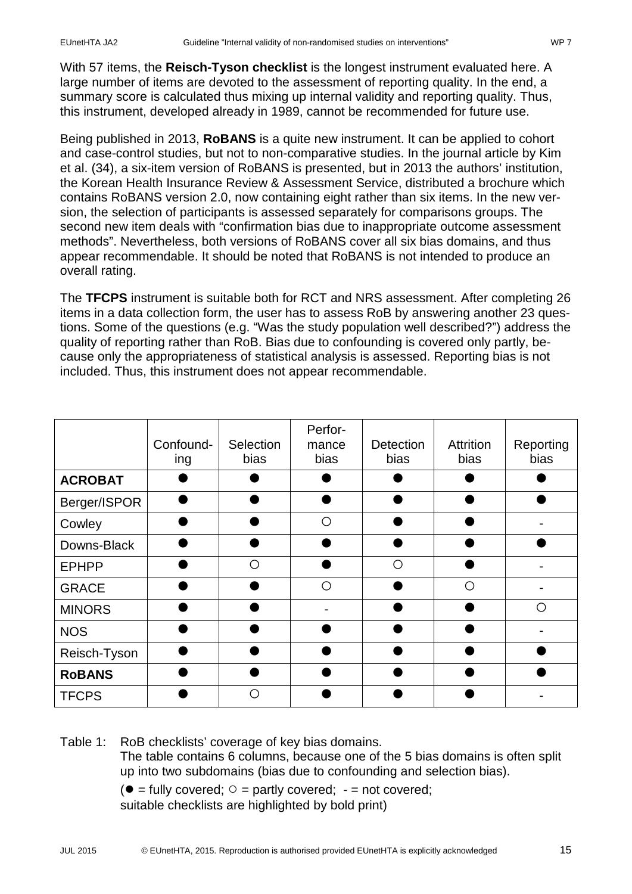With 57 items, the **Reisch-Tyson checklist** is the longest instrument evaluated here. A large number of items are devoted to the assessment of reporting quality. In the end, a summary score is calculated thus mixing up internal validity and reporting quality. Thus, this instrument, developed already in 1989, cannot be recommended for future use.

Being published in 2013, **RoBANS** is a quite new instrument. It can be applied to cohort and case-control studies, but not to non-comparative studies. In the journal article by Kim et al. [\(34\)](#page-21-4), a six-item version of RoBANS is presented, but in 2013 the authors' institution, the Korean Health Insurance Review & Assessment Service, distributed a brochure which contains RoBANS version 2.0, now containing eight rather than six items. In the new version, the selection of participants is assessed separately for comparisons groups. The second new item deals with "confirmation bias due to inappropriate outcome assessment methods". Nevertheless, both versions of RoBANS cover all six bias domains, and thus appear recommendable. It should be noted that RoBANS is not intended to produce an overall rating.

The **TFCPS** instrument is suitable both for RCT and NRS assessment. After completing 26 items in a data collection form, the user has to assess RoB by answering another 23 questions. Some of the questions (e.g. "Was the study population well described?") address the quality of reporting rather than RoB. Bias due to confounding is covered only partly, because only the appropriateness of statistical analysis is assessed. Reporting bias is not included. Thus, this instrument does not appear recommendable.

|                | Confound-<br>ing | Selection<br>bias | Perfor-<br>mance<br>bias | Detection<br>bias | <b>Attrition</b><br>bias | Reporting<br>bias |
|----------------|------------------|-------------------|--------------------------|-------------------|--------------------------|-------------------|
| <b>ACROBAT</b> |                  |                   |                          |                   |                          |                   |
| Berger/ISPOR   |                  |                   |                          |                   |                          |                   |
| Cowley         |                  |                   | ∩                        |                   |                          |                   |
| Downs-Black    |                  |                   |                          |                   |                          |                   |
| <b>EPHPP</b>   |                  | ∩                 |                          | ∩                 |                          |                   |
| <b>GRACE</b>   |                  |                   | ∩                        |                   | ∩                        |                   |
| <b>MINORS</b>  |                  |                   |                          |                   |                          | ∩                 |
| <b>NOS</b>     |                  |                   |                          |                   |                          |                   |
| Reisch-Tyson   |                  |                   |                          |                   |                          |                   |
| <b>RoBANS</b>  |                  |                   |                          |                   |                          |                   |
| <b>TFCPS</b>   |                  | ∩                 |                          |                   |                          |                   |

<span id="page-14-0"></span>Table 1: RoB checklists' coverage of key bias domains.

The table contains 6 columns, because one of the 5 bias domains is often split up into two subdomains (bias due to confounding and selection bias).

 $(• = fully covered;  $\circ$  = partly covered; - = not covered;$ suitable checklists are highlighted by bold print)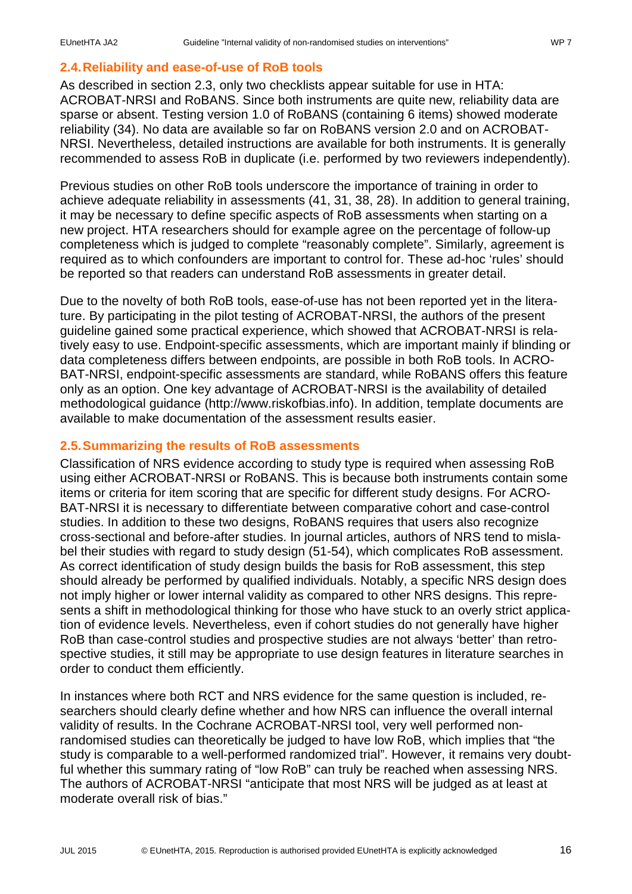### <span id="page-15-0"></span>**2.4.Reliability and ease-of-use of RoB tools**

As described in section [2.3,](#page-12-1) only two checklists appear suitable for use in HTA: ACROBAT-NRSI and RoBANS. Since both instruments are quite new, reliability data are sparse or absent. Testing version 1.0 of RoBANS (containing 6 items) showed moderate reliability [\(34\)](#page-21-4). No data are available so far on RoBANS version 2.0 and on ACROBAT-NRSI. Nevertheless, detailed instructions are available for both instruments. It is generally recommended to assess RoB in duplicate (i.e. performed by two reviewers independently).

Previous studies on other RoB tools underscore the importance of training in order to achieve adequate reliability in assessments [\(41,](#page-21-9) [31,](#page-20-3) [38,](#page-21-3) [28\)](#page-20-4). In addition to general training, it may be necessary to define specific aspects of RoB assessments when starting on a new project. HTA researchers should for example agree on the percentage of follow-up completeness which is judged to complete "reasonably complete". Similarly, agreement is required as to which confounders are important to control for. These ad-hoc 'rules' should be reported so that readers can understand RoB assessments in greater detail.

Due to the novelty of both RoB tools, ease-of-use has not been reported yet in the literature. By participating in the pilot testing of ACROBAT-NRSI, the authors of the present guideline gained some practical experience, which showed that ACROBAT-NRSI is relatively easy to use. Endpoint-specific assessments, which are important mainly if blinding or data completeness differs between endpoints, are possible in both RoB tools. In ACRO-BAT-NRSI, endpoint-specific assessments are standard, while RoBANS offers this feature only as an option. One key advantage of ACROBAT-NRSI is the availability of detailed methodological guidance [\(http://www.riskofbias.info\)](http://www.riskofbias.info/). In addition, template documents are available to make documentation of the assessment results easier.

### <span id="page-15-1"></span>**2.5.Summarizing the results of RoB assessments**

Classification of NRS evidence according to study type is required when assessing RoB using either ACROBAT-NRSI or RoBANS. This is because both instruments contain some items or criteria for item scoring that are specific for different study designs. For ACRO-BAT-NRSI it is necessary to differentiate between comparative cohort and case-control studies. In addition to these two designs, RoBANS requires that users also recognize cross-sectional and before-after studies. In journal articles, authors of NRS tend to mislabel their studies with regard to study design [\(51-54\)](#page-22-4), which complicates RoB assessment. As correct identification of study design builds the basis for RoB assessment, this step should already be performed by qualified individuals. Notably, a specific NRS design does not imply higher or lower internal validity as compared to other NRS designs. This represents a shift in methodological thinking for those who have stuck to an overly strict application of evidence levels. Nevertheless, even if cohort studies do not generally have higher RoB than case-control studies and prospective studies are not always 'better' than retrospective studies, it still may be appropriate to use design features in literature searches in order to conduct them efficiently.

In instances where both RCT and NRS evidence for the same question is included, researchers should clearly define whether and how NRS can influence the overall internal validity of results. In the Cochrane ACROBAT-NRSI tool, very well performed nonrandomised studies can theoretically be judged to have low RoB, which implies that "the study is comparable to a well-performed randomized trial". However, it remains very doubtful whether this summary rating of "low RoB" can truly be reached when assessing NRS. The authors of ACROBAT-NRSI "anticipate that most NRS will be judged as at least at moderate overall risk of bias."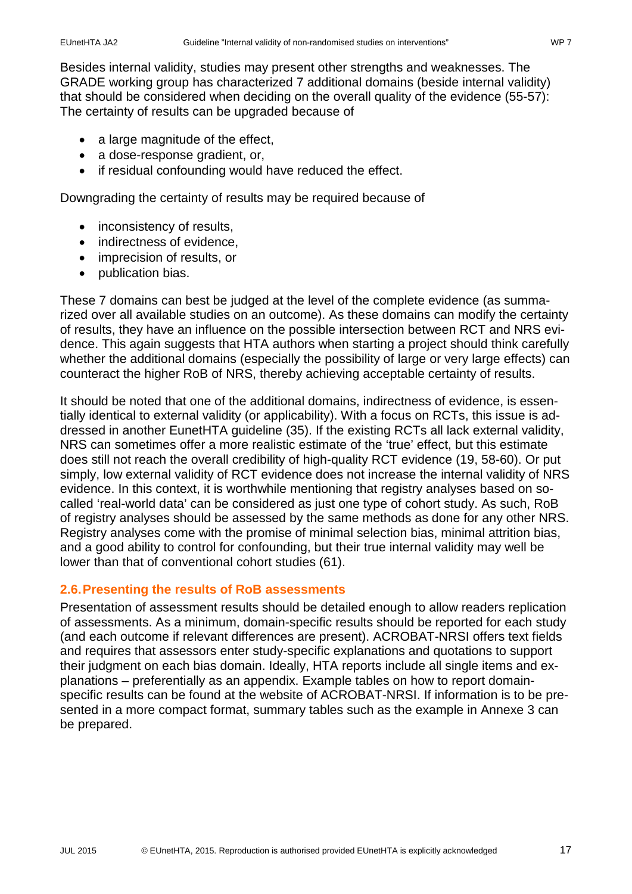Besides internal validity, studies may present other strengths and weaknesses. The GRADE working group has characterized 7 additional domains (beside internal validity) that should be considered when deciding on the overall quality of the evidence [\(55-57\)](#page-22-5): The certainty of results can be upgraded because of

- a large magnitude of the effect,
- a dose-response gradient, or,
- if residual confounding would have reduced the effect.

Downgrading the certainty of results may be required because of

- inconsistency of results,
- indirectness of evidence.
- imprecision of results, or
- publication bias.

These 7 domains can best be judged at the level of the complete evidence (as summarized over all available studies on an outcome). As these domains can modify the certainty of results, they have an influence on the possible intersection between RCT and NRS evidence. This again suggests that HTA authors when starting a project should think carefully whether the additional domains (especially the possibility of large or very large effects) can counteract the higher RoB of NRS, thereby achieving acceptable certainty of results.

It should be noted that one of the additional domains, indirectness of evidence, is essentially identical to external validity (or applicability). With a focus on RCTs, this issue is addressed in another EunetHTA guideline [\(35\)](#page-21-0). If the existing RCTs all lack external validity, NRS can sometimes offer a more realistic estimate of the 'true' effect, but this estimate does still not reach the overall credibility of high-quality RCT evidence [\(19,](#page-20-5) [58-60\)](#page-22-6). Or put simply, low external validity of RCT evidence does not increase the internal validity of NRS evidence. In this context, it is worthwhile mentioning that registry analyses based on socalled 'real-world data' can be considered as just one type of cohort study. As such, RoB of registry analyses should be assessed by the same methods as done for any other NRS. Registry analyses come with the promise of minimal selection bias, minimal attrition bias, and a good ability to control for confounding, but their true internal validity may well be lower than that of conventional cohort studies [\(61\)](#page-22-7).

### <span id="page-16-0"></span>**2.6.Presenting the results of RoB assessments**

<span id="page-16-1"></span>Presentation of assessment results should be detailed enough to allow readers replication of assessments. As a minimum, domain-specific results should be reported for each study (and each outcome if relevant differences are present). ACROBAT-NRSI offers text fields and requires that assessors enter study-specific explanations and quotations to support their judgment on each bias domain. Ideally, HTA reports include all single items and explanations – preferentially as an appendix. Example tables on how to report domainspecific results can be found at the website of ACROBAT-NRSI. If information is to be presented in a more compact format, summary tables such as the example in Annexe 3 can be prepared.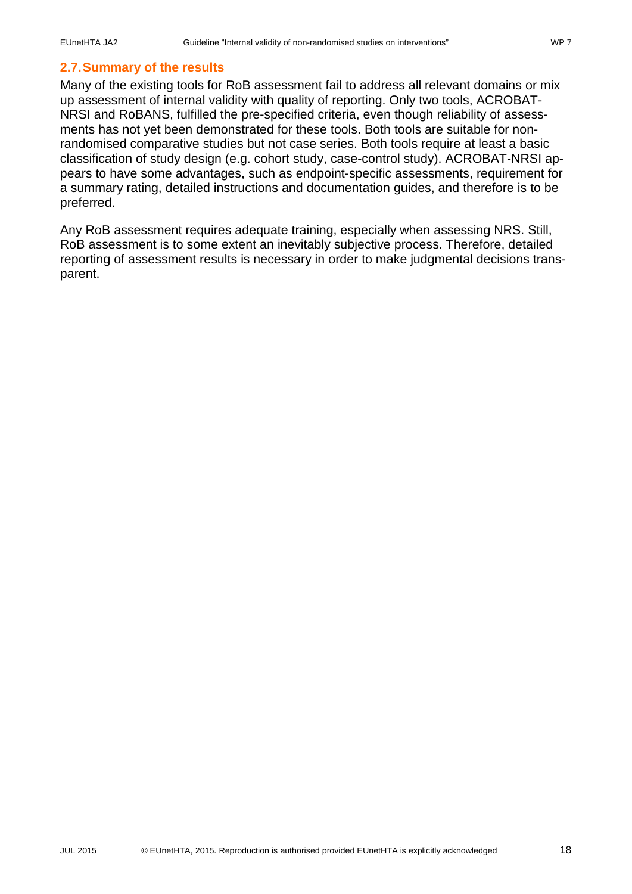# **2.7.Summary of the results**

Many of the existing tools for RoB assessment fail to address all relevant domains or mix up assessment of internal validity with quality of reporting. Only two tools, ACROBAT-NRSI and RoBANS, fulfilled the pre-specified criteria, even though reliability of assessments has not yet been demonstrated for these tools. Both tools are suitable for nonrandomised comparative studies but not case series. Both tools require at least a basic classification of study design (e.g. cohort study, case-control study). ACROBAT-NRSI appears to have some advantages, such as endpoint-specific assessments, requirement for a summary rating, detailed instructions and documentation guides, and therefore is to be preferred.

Any RoB assessment requires adequate training, especially when assessing NRS. Still, RoB assessment is to some extent an inevitably subjective process. Therefore, detailed reporting of assessment results is necessary in order to make judgmental decisions transparent.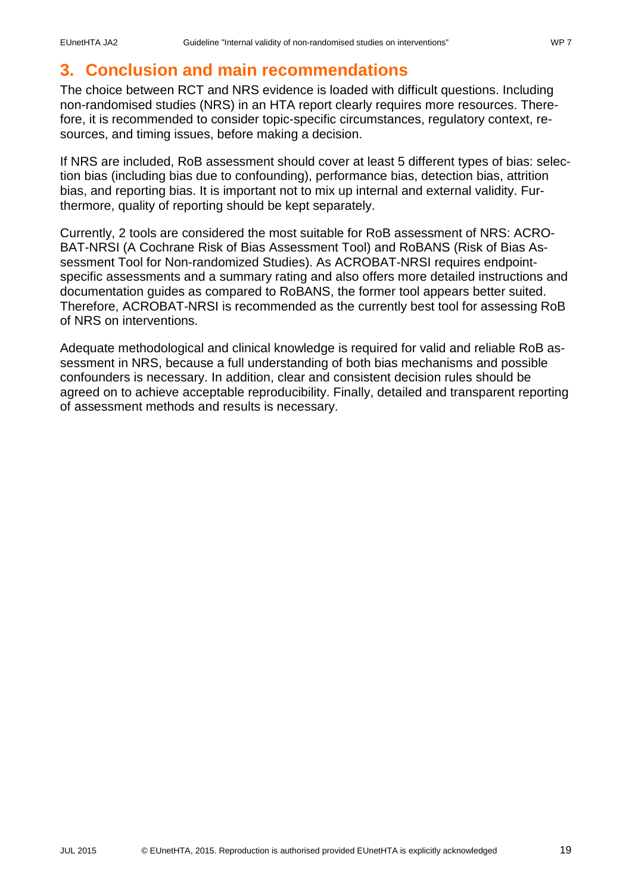### <span id="page-18-0"></span>**3. Conclusion and main recommendations**

The choice between RCT and NRS evidence is loaded with difficult questions. Including non-randomised studies (NRS) in an HTA report clearly requires more resources. Therefore, it is recommended to consider topic-specific circumstances, regulatory context, resources, and timing issues, before making a decision.

If NRS are included, RoB assessment should cover at least 5 different types of bias: selection bias (including bias due to confounding), performance bias, detection bias, attrition bias, and reporting bias. It is important not to mix up internal and external validity. Furthermore, quality of reporting should be kept separately.

Currently, 2 tools are considered the most suitable for RoB assessment of NRS: ACRO-BAT-NRSI (A Cochrane Risk of Bias Assessment Tool) and RoBANS (Risk of Bias Assessment Tool for Non-randomized Studies). As ACROBAT-NRSI requires endpointspecific assessments and a summary rating and also offers more detailed instructions and documentation guides as compared to RoBANS, the former tool appears better suited. Therefore, ACROBAT-NRSI is recommended as the currently best tool for assessing RoB of NRS on interventions.

Adequate methodological and clinical knowledge is required for valid and reliable RoB assessment in NRS, because a full understanding of both bias mechanisms and possible confounders is necessary. In addition, clear and consistent decision rules should be agreed on to achieve acceptable reproducibility. Finally, detailed and transparent reporting of assessment methods and results is necessary.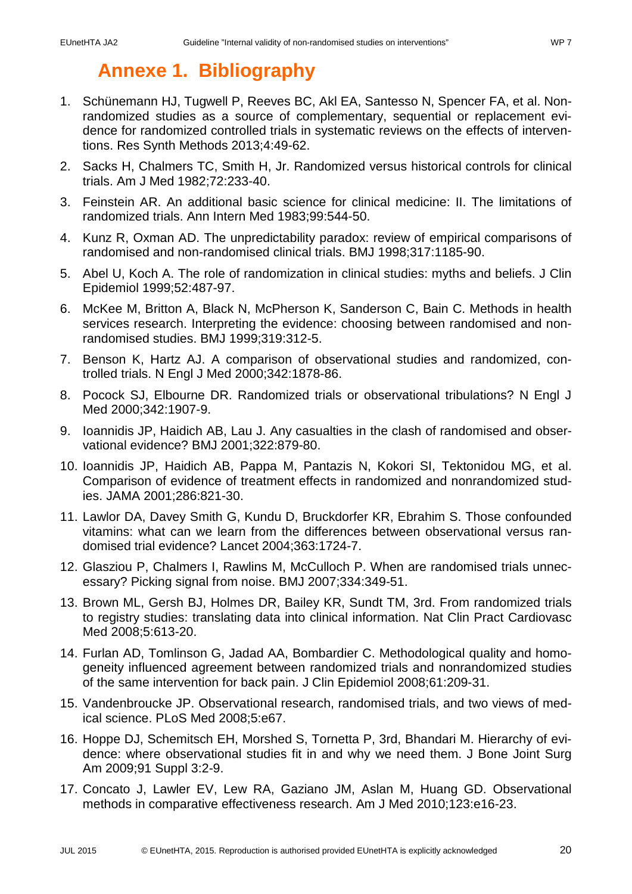## **Annexe 1. Bibliography**

- <span id="page-19-1"></span><span id="page-19-0"></span>1. Schünemann HJ, Tugwell P, Reeves BC, Akl EA, Santesso N, Spencer FA, et al. Nonrandomized studies as a source of complementary, sequential or replacement evidence for randomized controlled trials in systematic reviews on the effects of interventions. Res Synth Methods 2013;4:49-62.
- <span id="page-19-2"></span>2. Sacks H, Chalmers TC, Smith H, Jr. Randomized versus historical controls for clinical trials. Am J Med 1982;72:233-40.
- 3. Feinstein AR. An additional basic science for clinical medicine: II. The limitations of randomized trials. Ann Intern Med 1983;99:544-50.
- 4. Kunz R, Oxman AD. The unpredictability paradox: review of empirical comparisons of randomised and non-randomised clinical trials. BMJ 1998;317:1185-90.
- 5. Abel U, Koch A. The role of randomization in clinical studies: myths and beliefs. J Clin Epidemiol 1999;52:487-97.
- 6. McKee M, Britton A, Black N, McPherson K, Sanderson C, Bain C. Methods in health services research. Interpreting the evidence: choosing between randomised and nonrandomised studies. BMJ 1999;319:312-5.
- 7. Benson K, Hartz AJ. A comparison of observational studies and randomized, controlled trials. N Engl J Med 2000;342:1878-86.
- 8. Pocock SJ, Elbourne DR. Randomized trials or observational tribulations? N Engl J Med 2000;342:1907-9.
- 9. Ioannidis JP, Haidich AB, Lau J. Any casualties in the clash of randomised and observational evidence? BMJ 2001;322:879-80.
- 10. Ioannidis JP, Haidich AB, Pappa M, Pantazis N, Kokori SI, Tektonidou MG, et al. Comparison of evidence of treatment effects in randomized and nonrandomized studies. JAMA 2001;286:821-30.
- 11. Lawlor DA, Davey Smith G, Kundu D, Bruckdorfer KR, Ebrahim S. Those confounded vitamins: what can we learn from the differences between observational versus randomised trial evidence? Lancet 2004;363:1724-7.
- 12. Glasziou P, Chalmers I, Rawlins M, McCulloch P. When are randomised trials unnecessary? Picking signal from noise. BMJ 2007;334:349-51.
- 13. Brown ML, Gersh BJ, Holmes DR, Bailey KR, Sundt TM, 3rd. From randomized trials to registry studies: translating data into clinical information. Nat Clin Pract Cardiovasc Med 2008;5:613-20.
- 14. Furlan AD, Tomlinson G, Jadad AA, Bombardier C. Methodological quality and homogeneity influenced agreement between randomized trials and nonrandomized studies of the same intervention for back pain. J Clin Epidemiol 2008;61:209-31.
- 15. Vandenbroucke JP. Observational research, randomised trials, and two views of medical science. PLoS Med 2008;5:e67.
- 16. Hoppe DJ, Schemitsch EH, Morshed S, Tornetta P, 3rd, Bhandari M. Hierarchy of evidence: where observational studies fit in and why we need them. J Bone Joint Surg Am 2009;91 Suppl 3:2-9.
- 17. Concato J, Lawler EV, Lew RA, Gaziano JM, Aslan M, Huang GD. Observational methods in comparative effectiveness research. Am J Med 2010;123:e16-23.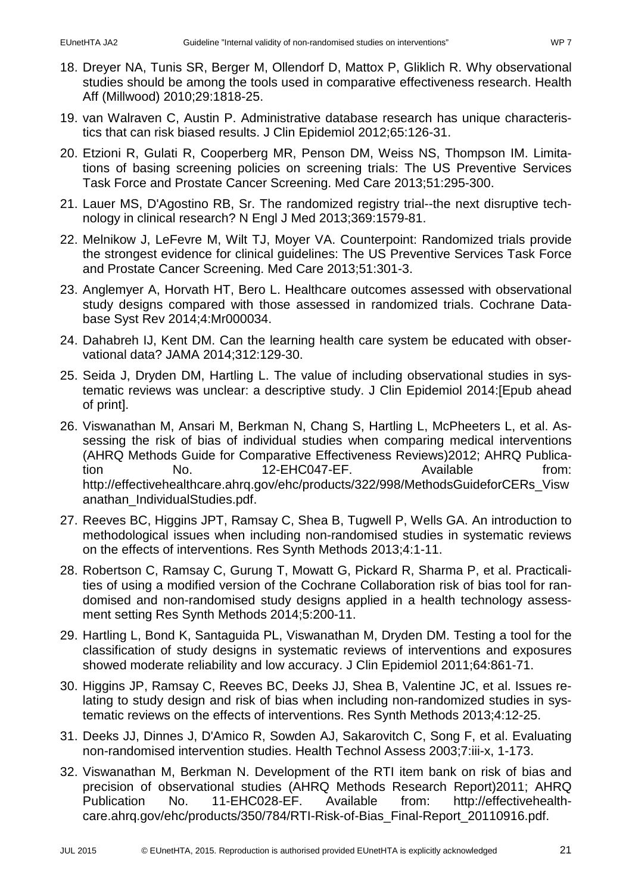- 18. Dreyer NA, Tunis SR, Berger M, Ollendorf D, Mattox P, Gliklich R. Why observational studies should be among the tools used in comparative effectiveness research. Health Aff (Millwood) 2010;29:1818-25.
- <span id="page-20-5"></span>19. van Walraven C, Austin P. Administrative database research has unique characteristics that can risk biased results. J Clin Epidemiol 2012;65:126-31.
- 20. Etzioni R, Gulati R, Cooperberg MR, Penson DM, Weiss NS, Thompson IM. Limitations of basing screening policies on screening trials: The US Preventive Services Task Force and Prostate Cancer Screening. Med Care 2013;51:295-300.
- 21. Lauer MS, D'Agostino RB, Sr. The randomized registry trial--the next disruptive technology in clinical research? N Engl J Med 2013;369:1579-81.
- 22. Melnikow J, LeFevre M, Wilt TJ, Moyer VA. Counterpoint: Randomized trials provide the strongest evidence for clinical guidelines: The US Preventive Services Task Force and Prostate Cancer Screening. Med Care 2013;51:301-3.
- 23. Anglemyer A, Horvath HT, Bero L. Healthcare outcomes assessed with observational study designs compared with those assessed in randomized trials. Cochrane Database Syst Rev 2014;4:Mr000034.
- 24. Dahabreh IJ, Kent DM. Can the learning health care system be educated with observational data? JAMA 2014;312:129-30.
- 25. Seida J, Dryden DM, Hartling L. The value of including observational studies in systematic reviews was unclear: a descriptive study. J Clin Epidemiol 2014:[Epub ahead of print].
- <span id="page-20-0"></span>26. Viswanathan M, Ansari M, Berkman N, Chang S, Hartling L, McPheeters L, et al. Assessing the risk of bias of individual studies when comparing medical interventions (AHRQ Methods Guide for Comparative Effectiveness Reviews)2012; AHRQ Publication No. 12-EHC047-EF. Available from: [http://effectivehealthcare.ahrq.gov/ehc/products/322/998/MethodsGuideforCERs\\_Visw](http://effectivehealthcare.ahrq.gov/ehc/products/322/998/MethodsGuideforCERs_Viswanathan_IndividualStudies.pdf) [anathan\\_IndividualStudies.pdf.](http://effectivehealthcare.ahrq.gov/ehc/products/322/998/MethodsGuideforCERs_Viswanathan_IndividualStudies.pdf)
- 27. Reeves BC, Higgins JPT, Ramsay C, Shea B, Tugwell P, Wells GA. An introduction to methodological issues when including non-randomised studies in systematic reviews on the effects of interventions. Res Synth Methods 2013;4:1-11.
- <span id="page-20-4"></span>28. Robertson C, Ramsay C, Gurung T, Mowatt G, Pickard R, Sharma P, et al. Practicalities of using a modified version of the Cochrane Collaboration risk of bias tool for randomised and non-randomised study designs applied in a health technology assessment setting Res Synth Methods 2014;5:200-11.
- <span id="page-20-1"></span>29. Hartling L, Bond K, Santaguida PL, Viswanathan M, Dryden DM. Testing a tool for the classification of study designs in systematic reviews of interventions and exposures showed moderate reliability and low accuracy. J Clin Epidemiol 2011;64:861-71.
- <span id="page-20-2"></span>30. Higgins JP, Ramsay C, Reeves BC, Deeks JJ, Shea B, Valentine JC, et al. Issues relating to study design and risk of bias when including non-randomized studies in systematic reviews on the effects of interventions. Res Synth Methods 2013;4:12-25.
- <span id="page-20-3"></span>31. Deeks JJ, Dinnes J, D'Amico R, Sowden AJ, Sakarovitch C, Song F, et al. Evaluating non-randomised intervention studies. Health Technol Assess 2003;7:iii-x, 1-173.
- 32. Viswanathan M, Berkman N. Development of the RTI item bank on risk of bias and precision of observational studies (AHRQ Methods Research Report)2011; AHRQ Publication No. 11-EHC028-EF. Available from: http://effectivehealthcare.ahrq.gov/ehc/products/350/784/RTI-Risk-of-Bias\_Final-Report\_20110916.pdf.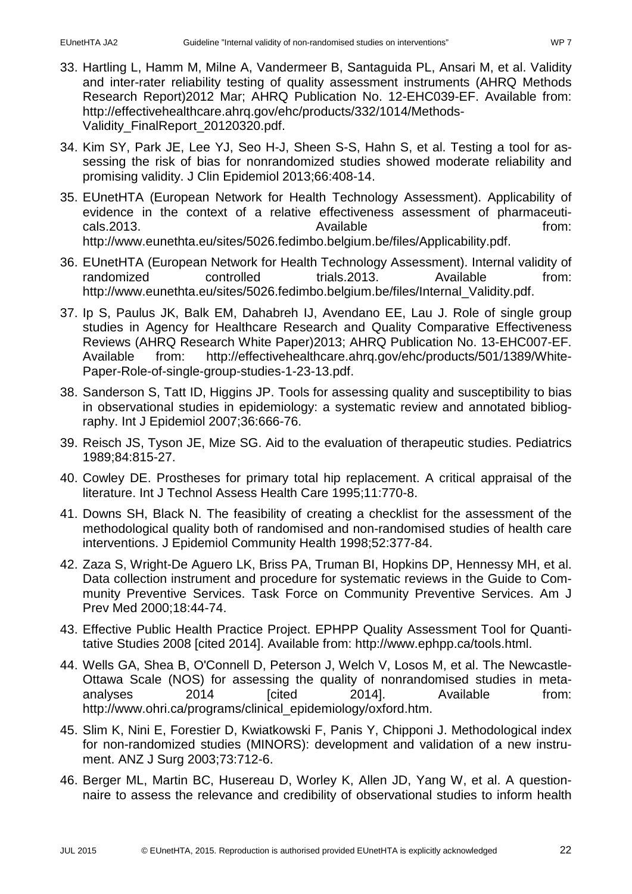- 33. Hartling L, Hamm M, Milne A, Vandermeer B, Santaguida PL, Ansari M, et al. Validity and inter-rater reliability testing of quality assessment instruments (AHRQ Methods Research Report)2012 Mar; AHRQ Publication No. 12-EHC039-EF. Available from: [http://effectivehealthcare.ahrq.gov/ehc/products/332/1014/Methods-](http://effectivehealthcare.ahrq.gov/ehc/products/332/1014/Methods-Validity_FinalReport_20120320.pdf)[Validity\\_FinalReport\\_20120320.pdf.](http://effectivehealthcare.ahrq.gov/ehc/products/332/1014/Methods-Validity_FinalReport_20120320.pdf)
- <span id="page-21-4"></span>34. Kim SY, Park JE, Lee YJ, Seo H-J, Sheen S-S, Hahn S, et al. Testing a tool for assessing the risk of bias for nonrandomized studies showed moderate reliability and promising validity. J Clin Epidemiol 2013;66:408-14.
- <span id="page-21-0"></span>35. EUnetHTA (European Network for Health Technology Assessment). Applicability of evidence in the context of a relative effectiveness assessment of pharmaceuticals.2013. The cals of the cals.2013. [http://www.eunethta.eu/sites/5026.fedimbo.belgium.be/files/Applicability.pdf.](http://www.eunethta.eu/sites/5026.fedimbo.belgium.be/files/Applicability.pdf)
- <span id="page-21-1"></span>36. EUnetHTA (European Network for Health Technology Assessment). Internal validity of randomized controlled trials.2013. Available from: [http://www.eunethta.eu/sites/5026.fedimbo.belgium.be/files/Internal\\_Validity.pdf.](http://www.eunethta.eu/sites/5026.fedimbo.belgium.be/files/Internal_Validity.pdf)
- <span id="page-21-2"></span>37. Ip S, Paulus JK, Balk EM, Dahabreh IJ, Avendano EE, Lau J. Role of single group studies in Agency for Healthcare Research and Quality Comparative Effectiveness Reviews (AHRQ Research White Paper)2013; AHRQ Publication No. 13-EHC007-EF.<br>Available from: http://effectivehealthcare.ahrg.gov/ehc/products/501/1389/Whitehttp://effectivehealthcare.ahrg.gov/ehc/products/501/1389/White-[Paper-Role-of-single-group-studies-1-23-13.pdf.](http://effectivehealthcare.ahrq.gov/ehc/products/501/1389/White-Paper-Role-of-single-group-studies-1-23-13.pdf)
- <span id="page-21-3"></span>38. Sanderson S, Tatt ID, Higgins JP. Tools for assessing quality and susceptibility to bias in observational studies in epidemiology: a systematic review and annotated bibliography. Int J Epidemiol 2007;36:666-76.
- <span id="page-21-5"></span>39. Reisch JS, Tyson JE, Mize SG. Aid to the evaluation of therapeutic studies. Pediatrics 1989;84:815-27.
- <span id="page-21-8"></span>40. Cowley DE. Prostheses for primary total hip replacement. A critical appraisal of the literature. Int J Technol Assess Health Care 1995;11:770-8.
- <span id="page-21-9"></span>41. Downs SH, Black N. The feasibility of creating a checklist for the assessment of the methodological quality both of randomised and non-randomised studies of health care interventions. J Epidemiol Community Health 1998;52:377-84.
- <span id="page-21-12"></span>42. Zaza S, Wright-De Aguero LK, Briss PA, Truman BI, Hopkins DP, Hennessy MH, et al. Data collection instrument and procedure for systematic reviews in the Guide to Community Preventive Services. Task Force on Community Preventive Services. Am J Prev Med 2000;18:44-74.
- <span id="page-21-10"></span>43. Effective Public Health Practice Project. EPHPP Quality Assessment Tool for Quantitative Studies 2008 [cited 2014]. Available from: [http://www.ephpp.ca/tools.html.](http://www.ephpp.ca/tools.html)
- <span id="page-21-11"></span>44. Wells GA, Shea B, O'Connell D, Peterson J, Welch V, Losos M, et al. The Newcastle-Ottawa Scale (NOS) for assessing the quality of nonrandomised studies in metaanalyses 2014 [cited 2014]. Available from: [http://www.ohri.ca/programs/clinical\\_epidemiology/oxford.htm.](http://www.ohri.ca/programs/clinical_epidemiology/oxford.htm)
- <span id="page-21-6"></span>45. Slim K, Nini E, Forestier D, Kwiatkowski F, Panis Y, Chipponi J. Methodological index for non-randomized studies (MINORS): development and validation of a new instrument. ANZ J Surg 2003;73:712-6.
- <span id="page-21-7"></span>46. Berger ML, Martin BC, Husereau D, Worley K, Allen JD, Yang W, et al. A questionnaire to assess the relevance and credibility of observational studies to inform health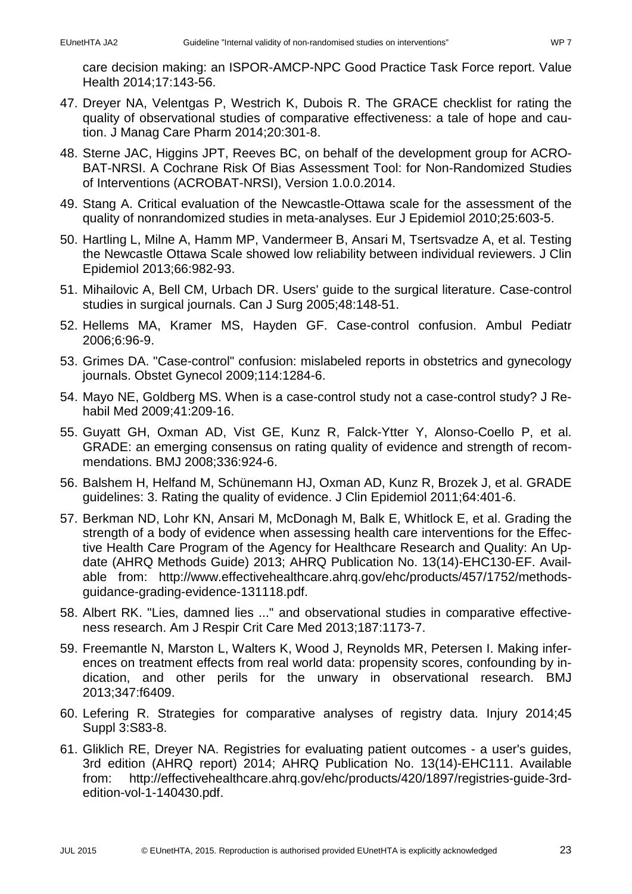care decision making: an ISPOR-AMCP-NPC Good Practice Task Force report. Value Health 2014;17:143-56.

- <span id="page-22-1"></span>47. Dreyer NA, Velentgas P, Westrich K, Dubois R. The GRACE checklist for rating the quality of observational studies of comparative effectiveness: a tale of hope and caution. J Manag Care Pharm 2014;20:301-8.
- <span id="page-22-0"></span>48. Sterne JAC, Higgins JPT, Reeves BC, on behalf of the development group for ACRO-BAT-NRSI. A Cochrane Risk Of Bias Assessment Tool: for Non-Randomized Studies of Interventions (ACROBAT-NRSI), Version 1.0.0.2014.
- <span id="page-22-2"></span>49. Stang A. Critical evaluation of the Newcastle-Ottawa scale for the assessment of the quality of nonrandomized studies in meta-analyses. Eur J Epidemiol 2010;25:603-5.
- <span id="page-22-3"></span>50. Hartling L, Milne A, Hamm MP, Vandermeer B, Ansari M, Tsertsvadze A, et al. Testing the Newcastle Ottawa Scale showed low reliability between individual reviewers. J Clin Epidemiol 2013;66:982-93.
- <span id="page-22-4"></span>51. Mihailovic A, Bell CM, Urbach DR. Users' guide to the surgical literature. Case-control studies in surgical journals. Can J Surg 2005;48:148-51.
- 52. Hellems MA, Kramer MS, Hayden GF. Case-control confusion. Ambul Pediatr 2006;6:96-9.
- 53. Grimes DA. "Case-control" confusion: mislabeled reports in obstetrics and gynecology journals. Obstet Gynecol 2009;114:1284-6.
- 54. Mayo NE, Goldberg MS. When is a case-control study not a case-control study? J Rehabil Med 2009;41:209-16.
- <span id="page-22-5"></span>55. Guyatt GH, Oxman AD, Vist GE, Kunz R, Falck-Ytter Y, Alonso-Coello P, et al. GRADE: an emerging consensus on rating quality of evidence and strength of recommendations. BMJ 2008;336:924-6.
- 56. Balshem H, Helfand M, Schünemann HJ, Oxman AD, Kunz R, Brozek J, et al. GRADE guidelines: 3. Rating the quality of evidence. J Clin Epidemiol 2011;64:401-6.
- 57. Berkman ND, Lohr KN, Ansari M, McDonagh M, Balk E, Whitlock E, et al. Grading the strength of a body of evidence when assessing health care interventions for the Effective Health Care Program of the Agency for Healthcare Research and Quality: An Update (AHRQ Methods Guide) 2013; AHRQ Publication No. 13(14)-EHC130-EF. Available from: http://www.effectivehealthcare.ahrq.gov/ehc/products/457/1752/methodsguidance-grading-evidence-131118.pdf.
- <span id="page-22-6"></span>58. Albert RK. "Lies, damned lies ..." and observational studies in comparative effectiveness research. Am J Respir Crit Care Med 2013;187:1173-7.
- 59. Freemantle N, Marston L, Walters K, Wood J, Reynolds MR, Petersen I. Making inferences on treatment effects from real world data: propensity scores, confounding by indication, and other perils for the unwary in observational research. BMJ 2013;347:f6409.
- 60. Lefering R. Strategies for comparative analyses of registry data. Injury 2014;45 Suppl 3:S83-8.
- <span id="page-22-7"></span>61. Gliklich RE, Dreyer NA. Registries for evaluating patient outcomes - a user's guides, 3rd edition (AHRQ report) 2014; AHRQ Publication No. 13(14)-EHC111. Available from: [http://effectivehealthcare.ahrq.gov/ehc/products/420/1897/registries-guide-3rd](http://effectivehealthcare.ahrq.gov/ehc/products/420/1897/registries-guide-3rd-edition-vol-1-140430.pdf)[edition-vol-1-140430.pdf.](http://effectivehealthcare.ahrq.gov/ehc/products/420/1897/registries-guide-3rd-edition-vol-1-140430.pdf)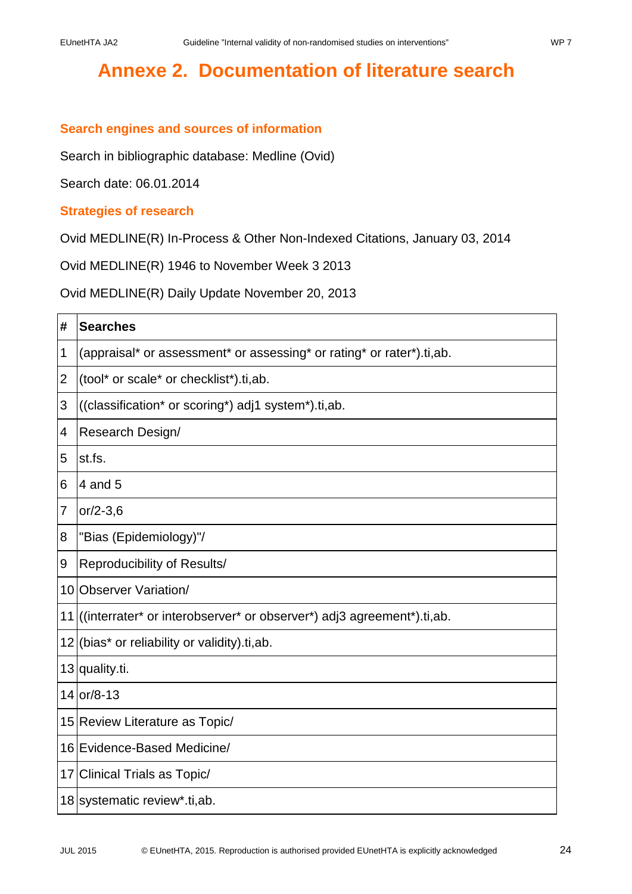# <span id="page-23-0"></span>**Annexe 2. Documentation of literature search**

### **Search engines and sources of information**

Search in bibliographic database: Medline (Ovid)

Search date: 06.01.2014

#### **Strategies of research**

Ovid MEDLINE(R) In-Process & Other Non-Indexed Citations, January 03, 2014

Ovid MEDLINE(R) 1946 to November Week 3 2013

Ovid MEDLINE(R) Daily Update November 20, 2013

| #              | <b>Searches</b>                                                           |
|----------------|---------------------------------------------------------------------------|
| 1              | (appraisal* or assessment* or assessing* or rating* or rater*).ti,ab.     |
| $\overline{2}$ | (tool* or scale* or checklist*).ti,ab.                                    |
| 3              | ((classification* or scoring*) adj1 system*).ti,ab.                       |
| 4              | Research Design/                                                          |
| 5              | st.fs.                                                                    |
| 6              | 4 and 5                                                                   |
| 7              | $or/2-3,6$                                                                |
| 8              | "Bias (Epidemiology)"/                                                    |
| 9              | Reproducibility of Results/                                               |
|                | 10 Observer Variation/                                                    |
|                | 11 ((interrater* or interobserver* or observer*) adj3 agreement*).ti, ab. |
|                | 12 (bias <sup>*</sup> or reliability or validity).ti, ab.                 |
|                | 13 quality.ti.                                                            |
|                | 14 or/8-13                                                                |
|                | 15 Review Literature as Topic/                                            |
|                | 16 Evidence-Based Medicine/                                               |
|                | 17 Clinical Trials as Topic/                                              |
|                | 18 systematic review*.ti, ab.                                             |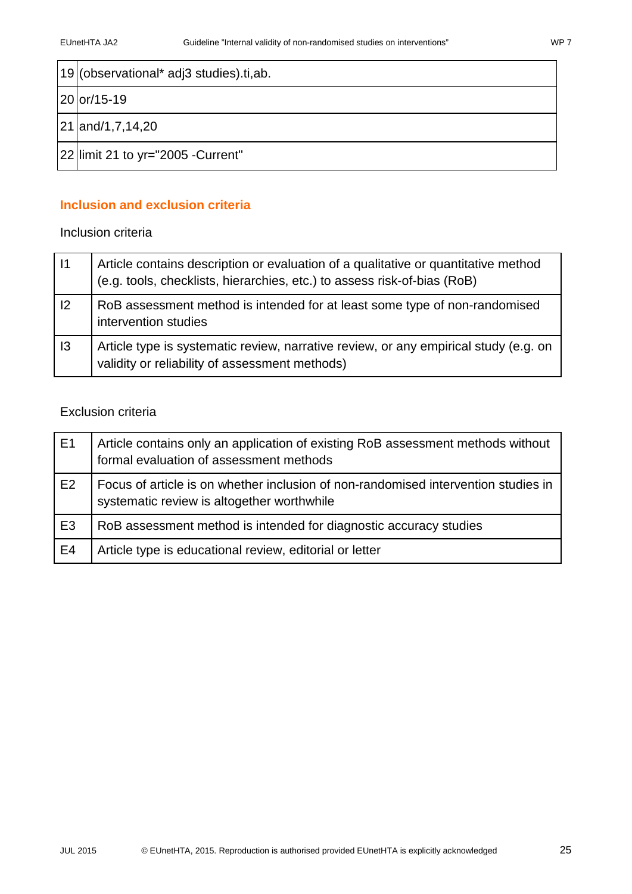| 19 (observational* adj3 studies).ti,ab. |
|-----------------------------------------|
| 20 or/15-19                             |
| 21 and/1,7,14,20                        |
| 22 limit 21 to yr="2005 - Current"      |

### **Inclusion and exclusion criteria**

### Inclusion criteria

| 1              | Article contains description or evaluation of a qualitative or quantitative method<br>(e.g. tools, checklists, hierarchies, etc.) to assess risk-of-bias (RoB) |
|----------------|----------------------------------------------------------------------------------------------------------------------------------------------------------------|
| 2              | RoB assessment method is intended for at least some type of non-randomised<br>intervention studies                                                             |
| $\overline{3}$ | Article type is systematic review, narrative review, or any empirical study (e.g. on<br>validity or reliability of assessment methods)                         |

#### Exclusion criteria

| E1             | Article contains only an application of existing RoB assessment methods without<br>formal evaluation of assessment methods       |
|----------------|----------------------------------------------------------------------------------------------------------------------------------|
| E2             | Focus of article is on whether inclusion of non-randomised intervention studies in<br>systematic review is altogether worthwhile |
| E <sub>3</sub> | RoB assessment method is intended for diagnostic accuracy studies                                                                |
| E <sub>4</sub> | Article type is educational review, editorial or letter                                                                          |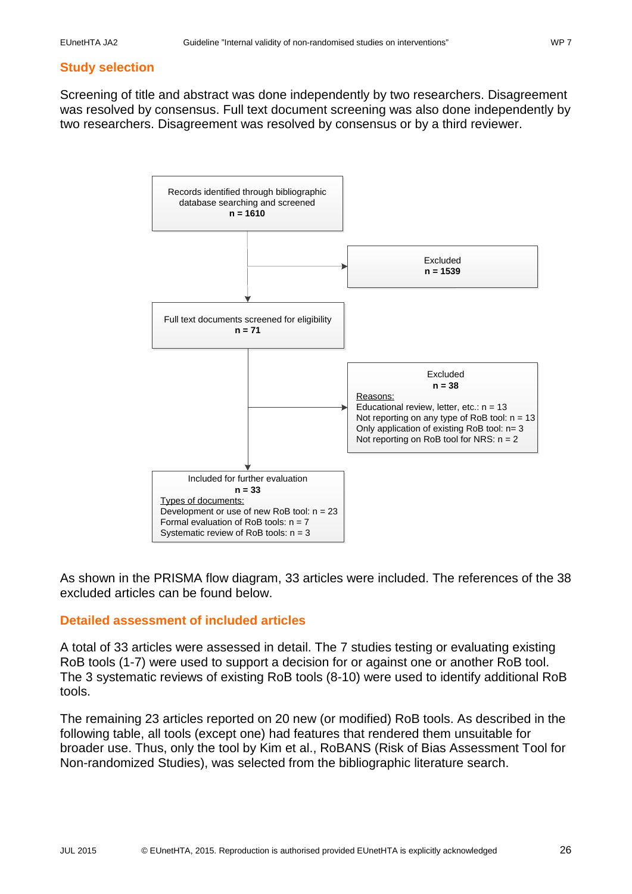### **Study selection**

Screening of title and abstract was done independently by two researchers. Disagreement was resolved by consensus. Full text document screening was also done independently by two researchers. Disagreement was resolved by consensus or by a third reviewer.



As shown in the PRISMA flow diagram, 33 articles were included. The references of the 38 excluded articles can be found below.

#### **Detailed assessment of included articles**

A total of 33 articles were assessed in detail. The 7 studies testing or evaluating existing RoB tools (1-7) were used to support a decision for or against one or another RoB tool. The 3 systematic reviews of existing RoB tools (8-10) were used to identify additional RoB tools.

The remaining 23 articles reported on 20 new (or modified) RoB tools. As described in the following table, all tools (except one) had features that rendered them unsuitable for broader use. Thus, only the tool by Kim et al., RoBANS (Risk of Bias Assessment Tool for Non-randomized Studies), was selected from the bibliographic literature search.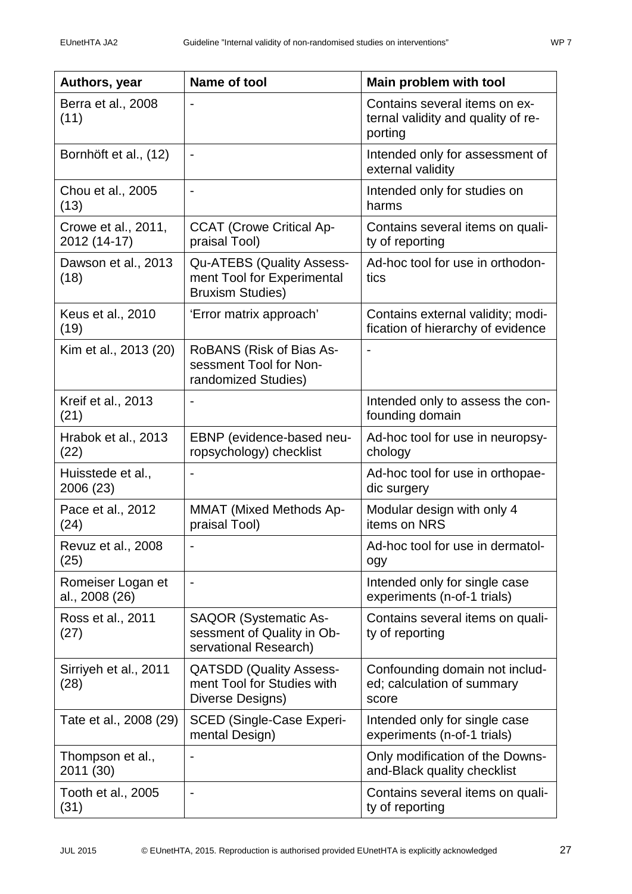| Authors, year                       | Name of tool                                                                              | Main problem with tool                                                         |
|-------------------------------------|-------------------------------------------------------------------------------------------|--------------------------------------------------------------------------------|
| Berra et al., 2008<br>(11)          |                                                                                           | Contains several items on ex-<br>ternal validity and quality of re-<br>porting |
| Bornhöft et al., (12)               | $\qquad \qquad \blacksquare$                                                              | Intended only for assessment of<br>external validity                           |
| Chou et al., 2005<br>(13)           | $\overline{a}$                                                                            | Intended only for studies on<br>harms                                          |
| Crowe et al., 2011,<br>2012 (14-17) | <b>CCAT (Crowe Critical Ap-</b><br>praisal Tool)                                          | Contains several items on quali-<br>ty of reporting                            |
| Dawson et al., 2013<br>(18)         | <b>Qu-ATEBS (Quality Assess-</b><br>ment Tool for Experimental<br><b>Bruxism Studies)</b> | Ad-hoc tool for use in orthodon-<br>tics                                       |
| Keus et al., 2010<br>(19)           | 'Error matrix approach'                                                                   | Contains external validity; modi-<br>fication of hierarchy of evidence         |
| Kim et al., 2013 (20)               | RoBANS (Risk of Bias As-<br>sessment Tool for Non-<br>randomized Studies)                 |                                                                                |
| Kreif et al., 2013<br>(21)          |                                                                                           | Intended only to assess the con-<br>founding domain                            |
| Hrabok et al., 2013<br>(22)         | EBNP (evidence-based neu-<br>ropsychology) checklist                                      | Ad-hoc tool for use in neuropsy-<br>chology                                    |
| Huisstede et al.,<br>2006 (23)      |                                                                                           | Ad-hoc tool for use in orthopae-<br>dic surgery                                |
| Pace et al., 2012<br>(24)           | <b>MMAT</b> (Mixed Methods Ap-<br>praisal Tool)                                           | Modular design with only 4<br>items on NRS                                     |
| Revuz et al., 2008<br>(25)          | -                                                                                         | Ad-hoc tool for use in dermatol-<br>ogy                                        |
| Romeiser Logan et<br>al., 2008 (26) | $\overline{\phantom{a}}$                                                                  | Intended only for single case<br>experiments (n-of-1 trials)                   |
| Ross et al., 2011<br>(27)           | <b>SAQOR (Systematic As-</b><br>sessment of Quality in Ob-<br>servational Research)       | Contains several items on quali-<br>ty of reporting                            |
| Sirriyeh et al., 2011<br>(28)       | <b>QATSDD (Quality Assess-</b><br>ment Tool for Studies with<br>Diverse Designs)          | Confounding domain not includ-<br>ed; calculation of summary<br>score          |
| Tate et al., 2008 (29)              | <b>SCED (Single-Case Experi-</b><br>mental Design)                                        | Intended only for single case<br>experiments (n-of-1 trials)                   |
| Thompson et al.,<br>2011 (30)       |                                                                                           | Only modification of the Downs-<br>and-Black quality checklist                 |
| Tooth et al., 2005<br>(31)          | $\overline{a}$                                                                            | Contains several items on quali-<br>ty of reporting                            |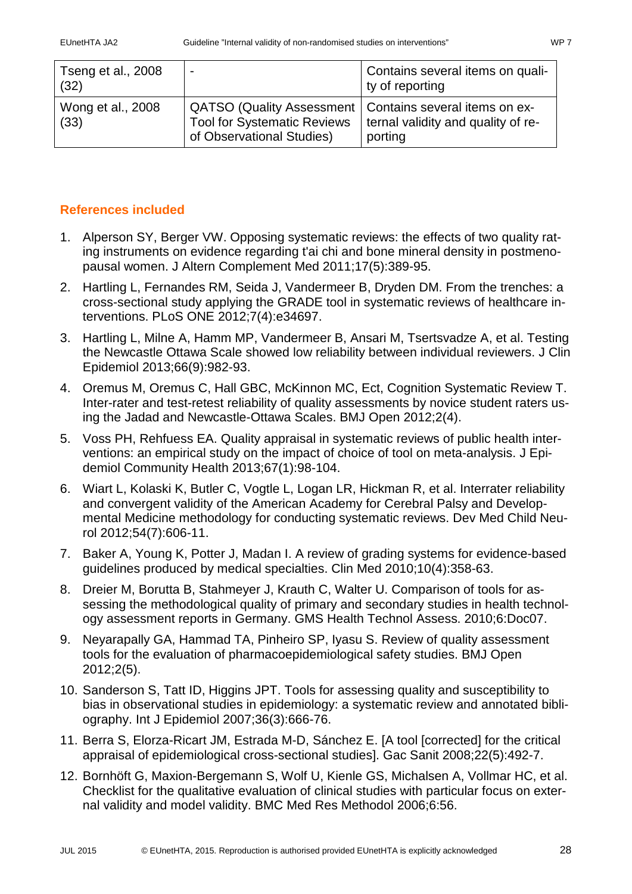| Tseng et al., 2008<br>(32) | $\blacksquare$                                                                                                               | Contains several items on quali-<br>ty of reporting |
|----------------------------|------------------------------------------------------------------------------------------------------------------------------|-----------------------------------------------------|
| Wong et al., 2008<br>(33)  | QATSO (Quality Assessment   Contains several items on ex-<br><b>Tool for Systematic Reviews</b><br>of Observational Studies) | ternal validity and quality of re-<br>porting       |

### **References included**

- 1. Alperson SY, Berger VW. Opposing systematic reviews: the effects of two quality rating instruments on evidence regarding t'ai chi and bone mineral density in postmenopausal women. J Altern Complement Med 2011;17(5):389-95.
- 2. Hartling L, Fernandes RM, Seida J, Vandermeer B, Dryden DM. From the trenches: a cross-sectional study applying the GRADE tool in systematic reviews of healthcare interventions. PLoS ONE 2012;7(4):e34697.
- 3. Hartling L, Milne A, Hamm MP, Vandermeer B, Ansari M, Tsertsvadze A, et al. Testing the Newcastle Ottawa Scale showed low reliability between individual reviewers. J Clin Epidemiol 2013;66(9):982-93.
- 4. Oremus M, Oremus C, Hall GBC, McKinnon MC, Ect, Cognition Systematic Review T. Inter-rater and test-retest reliability of quality assessments by novice student raters using the Jadad and Newcastle-Ottawa Scales. BMJ Open 2012;2(4).
- 5. Voss PH, Rehfuess EA. Quality appraisal in systematic reviews of public health interventions: an empirical study on the impact of choice of tool on meta-analysis. J Epidemiol Community Health 2013;67(1):98-104.
- 6. Wiart L, Kolaski K, Butler C, Vogtle L, Logan LR, Hickman R, et al. Interrater reliability and convergent validity of the American Academy for Cerebral Palsy and Developmental Medicine methodology for conducting systematic reviews. Dev Med Child Neurol 2012;54(7):606-11.
- 7. Baker A, Young K, Potter J, Madan I. A review of grading systems for evidence-based guidelines produced by medical specialties. Clin Med 2010;10(4):358-63.
- 8. Dreier M, Borutta B, Stahmeyer J, Krauth C, Walter U. Comparison of tools for assessing the methodological quality of primary and secondary studies in health technology assessment reports in Germany. GMS Health Technol Assess. 2010;6:Doc07.
- 9. Neyarapally GA, Hammad TA, Pinheiro SP, Iyasu S. Review of quality assessment tools for the evaluation of pharmacoepidemiological safety studies. BMJ Open 2012;2(5).
- 10. Sanderson S, Tatt ID, Higgins JPT. Tools for assessing quality and susceptibility to bias in observational studies in epidemiology: a systematic review and annotated bibliography. Int J Epidemiol 2007;36(3):666-76.
- 11. Berra S, Elorza-Ricart JM, Estrada M-D, Sánchez E. [A tool [corrected] for the critical appraisal of epidemiological cross-sectional studies]. Gac Sanit 2008;22(5):492-7.
- 12. Bornhöft G, Maxion-Bergemann S, Wolf U, Kienle GS, Michalsen A, Vollmar HC, et al. Checklist for the qualitative evaluation of clinical studies with particular focus on external validity and model validity. BMC Med Res Methodol 2006;6:56.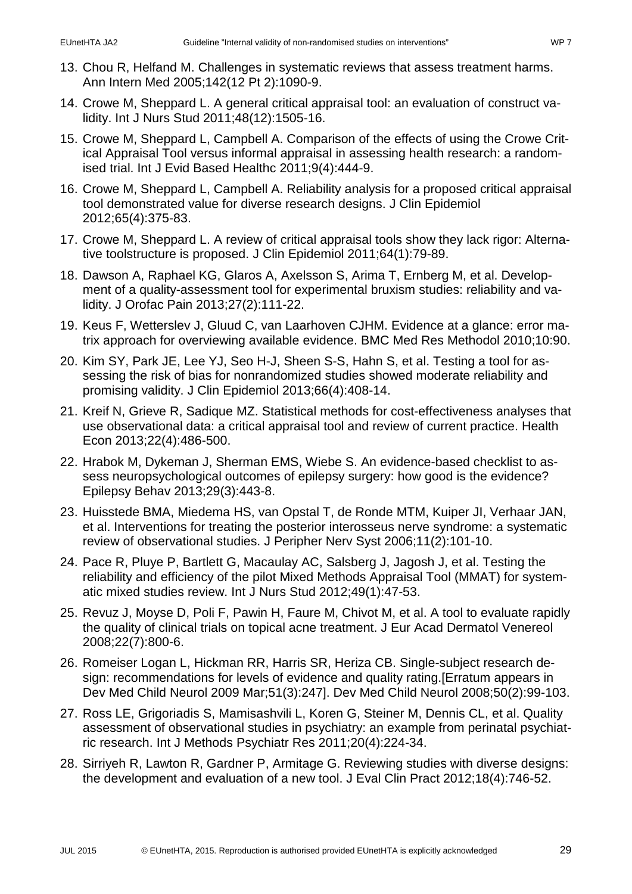- 13. Chou R, Helfand M. Challenges in systematic reviews that assess treatment harms. Ann Intern Med 2005;142(12 Pt 2):1090-9.
- 14. Crowe M, Sheppard L. A general critical appraisal tool: an evaluation of construct validity. Int J Nurs Stud 2011;48(12):1505-16.
- 15. Crowe M, Sheppard L, Campbell A. Comparison of the effects of using the Crowe Critical Appraisal Tool versus informal appraisal in assessing health research: a randomised trial. Int J Evid Based Healthc 2011;9(4):444-9.
- 16. Crowe M, Sheppard L, Campbell A. Reliability analysis for a proposed critical appraisal tool demonstrated value for diverse research designs. J Clin Epidemiol 2012;65(4):375-83.
- 17. Crowe M, Sheppard L. A review of critical appraisal tools show they lack rigor: Alternative toolstructure is proposed. J Clin Epidemiol 2011;64(1):79-89.
- 18. Dawson A, Raphael KG, Glaros A, Axelsson S, Arima T, Ernberg M, et al. Development of a quality-assessment tool for experimental bruxism studies: reliability and validity. J Orofac Pain 2013;27(2):111-22.
- 19. Keus F, Wetterslev J, Gluud C, van Laarhoven CJHM. Evidence at a glance: error matrix approach for overviewing available evidence. BMC Med Res Methodol 2010;10:90.
- 20. Kim SY, Park JE, Lee YJ, Seo H-J, Sheen S-S, Hahn S, et al. Testing a tool for assessing the risk of bias for nonrandomized studies showed moderate reliability and promising validity. J Clin Epidemiol 2013;66(4):408-14.
- 21. Kreif N, Grieve R, Sadique MZ. Statistical methods for cost-effectiveness analyses that use observational data: a critical appraisal tool and review of current practice. Health Econ 2013;22(4):486-500.
- 22. Hrabok M, Dykeman J, Sherman EMS, Wiebe S. An evidence-based checklist to assess neuropsychological outcomes of epilepsy surgery: how good is the evidence? Epilepsy Behav 2013;29(3):443-8.
- 23. Huisstede BMA, Miedema HS, van Opstal T, de Ronde MTM, Kuiper JI, Verhaar JAN, et al. Interventions for treating the posterior interosseus nerve syndrome: a systematic review of observational studies. J Peripher Nerv Syst 2006;11(2):101-10.
- 24. Pace R, Pluye P, Bartlett G, Macaulay AC, Salsberg J, Jagosh J, et al. Testing the reliability and efficiency of the pilot Mixed Methods Appraisal Tool (MMAT) for systematic mixed studies review. Int J Nurs Stud 2012;49(1):47-53.
- 25. Revuz J, Moyse D, Poli F, Pawin H, Faure M, Chivot M, et al. A tool to evaluate rapidly the quality of clinical trials on topical acne treatment. J Eur Acad Dermatol Venereol 2008;22(7):800-6.
- 26. Romeiser Logan L, Hickman RR, Harris SR, Heriza CB. Single-subject research design: recommendations for levels of evidence and quality rating.[Erratum appears in Dev Med Child Neurol 2009 Mar;51(3):247]. Dev Med Child Neurol 2008;50(2):99-103.
- 27. Ross LE, Grigoriadis S, Mamisashvili L, Koren G, Steiner M, Dennis CL, et al. Quality assessment of observational studies in psychiatry: an example from perinatal psychiatric research. Int J Methods Psychiatr Res 2011;20(4):224-34.
- 28. Sirriyeh R, Lawton R, Gardner P, Armitage G. Reviewing studies with diverse designs: the development and evaluation of a new tool. J Eval Clin Pract 2012;18(4):746-52.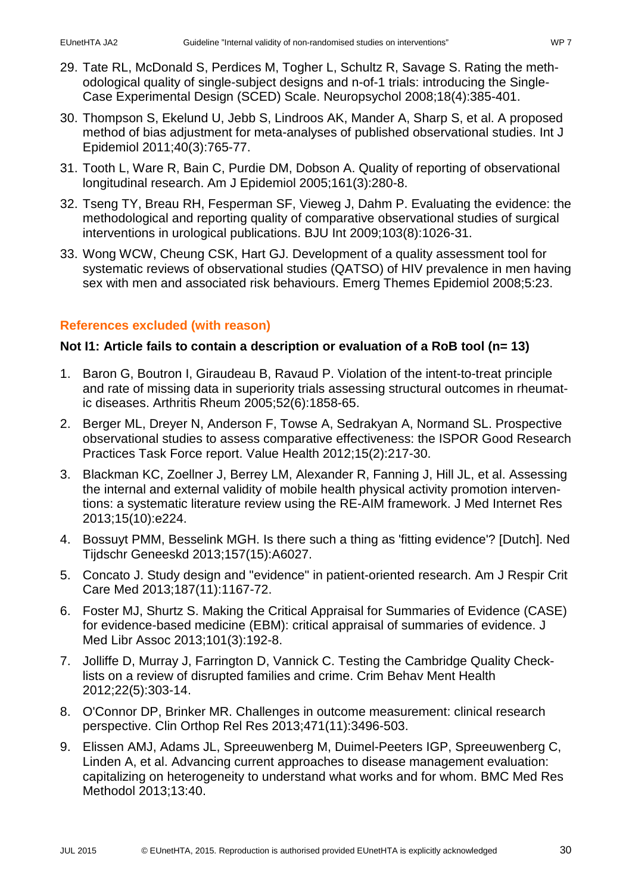- 29. Tate RL, McDonald S, Perdices M, Togher L, Schultz R, Savage S. Rating the methodological quality of single-subject designs and n-of-1 trials: introducing the Single-Case Experimental Design (SCED) Scale. Neuropsychol 2008;18(4):385-401.
- 30. Thompson S, Ekelund U, Jebb S, Lindroos AK, Mander A, Sharp S, et al. A proposed method of bias adjustment for meta-analyses of published observational studies. Int J Epidemiol 2011;40(3):765-77.
- 31. Tooth L, Ware R, Bain C, Purdie DM, Dobson A. Quality of reporting of observational longitudinal research. Am J Epidemiol 2005;161(3):280-8.
- 32. Tseng TY, Breau RH, Fesperman SF, Vieweg J, Dahm P. Evaluating the evidence: the methodological and reporting quality of comparative observational studies of surgical interventions in urological publications. BJU Int 2009;103(8):1026-31.
- 33. Wong WCW, Cheung CSK, Hart GJ. Development of a quality assessment tool for systematic reviews of observational studies (QATSO) of HIV prevalence in men having sex with men and associated risk behaviours. Emerg Themes Epidemiol 2008;5:23.

### **References excluded (with reason)**

### **Not I1: Article fails to contain a description or evaluation of a RoB tool (n= 13)**

- 1. Baron G, Boutron I, Giraudeau B, Ravaud P. Violation of the intent-to-treat principle and rate of missing data in superiority trials assessing structural outcomes in rheumatic diseases. Arthritis Rheum 2005;52(6):1858-65.
- 2. Berger ML, Dreyer N, Anderson F, Towse A, Sedrakyan A, Normand SL. Prospective observational studies to assess comparative effectiveness: the ISPOR Good Research Practices Task Force report. Value Health 2012;15(2):217-30.
- 3. Blackman KC, Zoellner J, Berrey LM, Alexander R, Fanning J, Hill JL, et al. Assessing the internal and external validity of mobile health physical activity promotion interventions: a systematic literature review using the RE-AIM framework. J Med Internet Res 2013;15(10):e224.
- 4. Bossuyt PMM, Besselink MGH. Is there such a thing as 'fitting evidence'? [Dutch]. Ned Tijdschr Geneeskd 2013;157(15):A6027.
- 5. Concato J. Study design and "evidence" in patient-oriented research. Am J Respir Crit Care Med 2013;187(11):1167-72.
- 6. Foster MJ, Shurtz S. Making the Critical Appraisal for Summaries of Evidence (CASE) for evidence-based medicine (EBM): critical appraisal of summaries of evidence. J Med Libr Assoc 2013;101(3):192-8.
- 7. Jolliffe D, Murray J, Farrington D, Vannick C. Testing the Cambridge Quality Checklists on a review of disrupted families and crime. Crim Behav Ment Health 2012;22(5):303-14.
- 8. O'Connor DP, Brinker MR. Challenges in outcome measurement: clinical research perspective. Clin Orthop Rel Res 2013;471(11):3496-503.
- 9. Elissen AMJ, Adams JL, Spreeuwenberg M, Duimel-Peeters IGP, Spreeuwenberg C, Linden A, et al. Advancing current approaches to disease management evaluation: capitalizing on heterogeneity to understand what works and for whom. BMC Med Res Methodol 2013;13:40.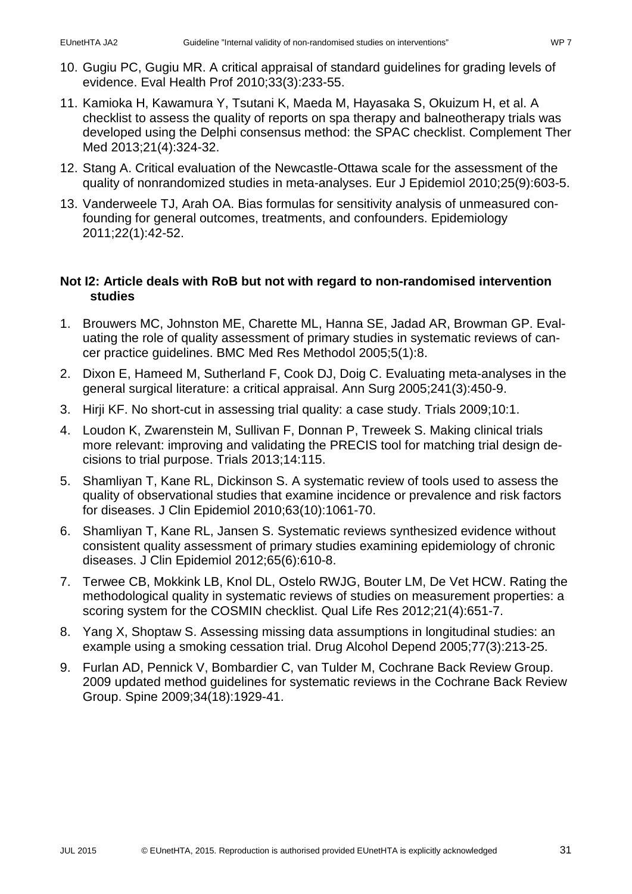- 10. Gugiu PC, Gugiu MR. A critical appraisal of standard guidelines for grading levels of evidence. Eval Health Prof 2010;33(3):233-55.
- 11. Kamioka H, Kawamura Y, Tsutani K, Maeda M, Hayasaka S, Okuizum H, et al. A checklist to assess the quality of reports on spa therapy and balneotherapy trials was developed using the Delphi consensus method: the SPAC checklist. Complement Ther Med 2013;21(4):324-32.
- 12. Stang A. Critical evaluation of the Newcastle-Ottawa scale for the assessment of the quality of nonrandomized studies in meta-analyses. Eur J Epidemiol 2010;25(9):603-5.
- 13. Vanderweele TJ, Arah OA. Bias formulas for sensitivity analysis of unmeasured confounding for general outcomes, treatments, and confounders. Epidemiology 2011;22(1):42-52.

### **Not I2: Article deals with RoB but not with regard to non-randomised intervention studies**

- 1. Brouwers MC, Johnston ME, Charette ML, Hanna SE, Jadad AR, Browman GP. Evaluating the role of quality assessment of primary studies in systematic reviews of cancer practice guidelines. BMC Med Res Methodol 2005;5(1):8.
- 2. Dixon E, Hameed M, Sutherland F, Cook DJ, Doig C. Evaluating meta-analyses in the general surgical literature: a critical appraisal. Ann Surg 2005;241(3):450-9.
- 3. Hirji KF. No short-cut in assessing trial quality: a case study. Trials 2009;10:1.
- 4. Loudon K, Zwarenstein M, Sullivan F, Donnan P, Treweek S. Making clinical trials more relevant: improving and validating the PRECIS tool for matching trial design decisions to trial purpose. Trials 2013;14:115.
- 5. Shamliyan T, Kane RL, Dickinson S. A systematic review of tools used to assess the quality of observational studies that examine incidence or prevalence and risk factors for diseases. J Clin Epidemiol 2010;63(10):1061-70.
- 6. Shamliyan T, Kane RL, Jansen S. Systematic reviews synthesized evidence without consistent quality assessment of primary studies examining epidemiology of chronic diseases. J Clin Epidemiol 2012;65(6):610-8.
- 7. Terwee CB, Mokkink LB, Knol DL, Ostelo RWJG, Bouter LM, De Vet HCW. Rating the methodological quality in systematic reviews of studies on measurement properties: a scoring system for the COSMIN checklist. Qual Life Res 2012;21(4):651-7.
- 8. Yang X, Shoptaw S. Assessing missing data assumptions in longitudinal studies: an example using a smoking cessation trial. Drug Alcohol Depend 2005;77(3):213-25.
- 9. Furlan AD, Pennick V, Bombardier C, van Tulder M, Cochrane Back Review Group. 2009 updated method guidelines for systematic reviews in the Cochrane Back Review Group. Spine 2009;34(18):1929-41.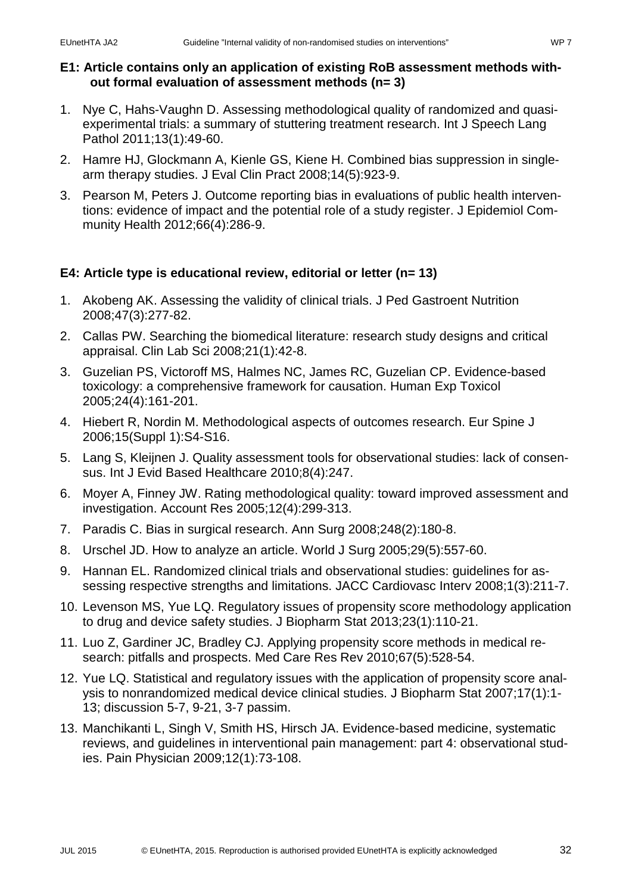### **E1: Article contains only an application of existing RoB assessment methods without formal evaluation of assessment methods (n= 3)**

- 1. Nye C, Hahs-Vaughn D. Assessing methodological quality of randomized and quasiexperimental trials: a summary of stuttering treatment research. Int J Speech Lang Pathol 2011;13(1):49-60.
- 2. Hamre HJ, Glockmann A, Kienle GS, Kiene H. Combined bias suppression in singlearm therapy studies. J Eval Clin Pract 2008;14(5):923-9.
- 3. Pearson M, Peters J. Outcome reporting bias in evaluations of public health interventions: evidence of impact and the potential role of a study register. J Epidemiol Community Health 2012;66(4):286-9.

### **E4: Article type is educational review, editorial or letter (n= 13)**

- 1. Akobeng AK. Assessing the validity of clinical trials. J Ped Gastroent Nutrition 2008;47(3):277-82.
- 2. Callas PW. Searching the biomedical literature: research study designs and critical appraisal. Clin Lab Sci 2008;21(1):42-8.
- 3. Guzelian PS, Victoroff MS, Halmes NC, James RC, Guzelian CP. Evidence-based toxicology: a comprehensive framework for causation. Human Exp Toxicol 2005;24(4):161-201.
- 4. Hiebert R, Nordin M. Methodological aspects of outcomes research. Eur Spine J 2006;15(Suppl 1):S4-S16.
- 5. Lang S, Kleijnen J. Quality assessment tools for observational studies: lack of consensus. Int J Evid Based Healthcare 2010;8(4):247.
- 6. Moyer A, Finney JW. Rating methodological quality: toward improved assessment and investigation. Account Res 2005;12(4):299-313.
- 7. Paradis C. Bias in surgical research. Ann Surg 2008;248(2):180-8.
- 8. Urschel JD. How to analyze an article. World J Surg 2005;29(5):557-60.
- 9. Hannan EL. Randomized clinical trials and observational studies: guidelines for assessing respective strengths and limitations. JACC Cardiovasc Interv 2008;1(3):211-7.
- 10. Levenson MS, Yue LQ. Regulatory issues of propensity score methodology application to drug and device safety studies. J Biopharm Stat 2013;23(1):110-21.
- 11. Luo Z, Gardiner JC, Bradley CJ. Applying propensity score methods in medical research: pitfalls and prospects. Med Care Res Rev 2010;67(5):528-54.
- 12. Yue LQ. Statistical and regulatory issues with the application of propensity score analysis to nonrandomized medical device clinical studies. J Biopharm Stat 2007;17(1):1- 13; discussion 5-7, 9-21, 3-7 passim.
- 13. Manchikanti L, Singh V, Smith HS, Hirsch JA. Evidence-based medicine, systematic reviews, and guidelines in interventional pain management: part 4: observational studies. Pain Physician 2009;12(1):73-108.